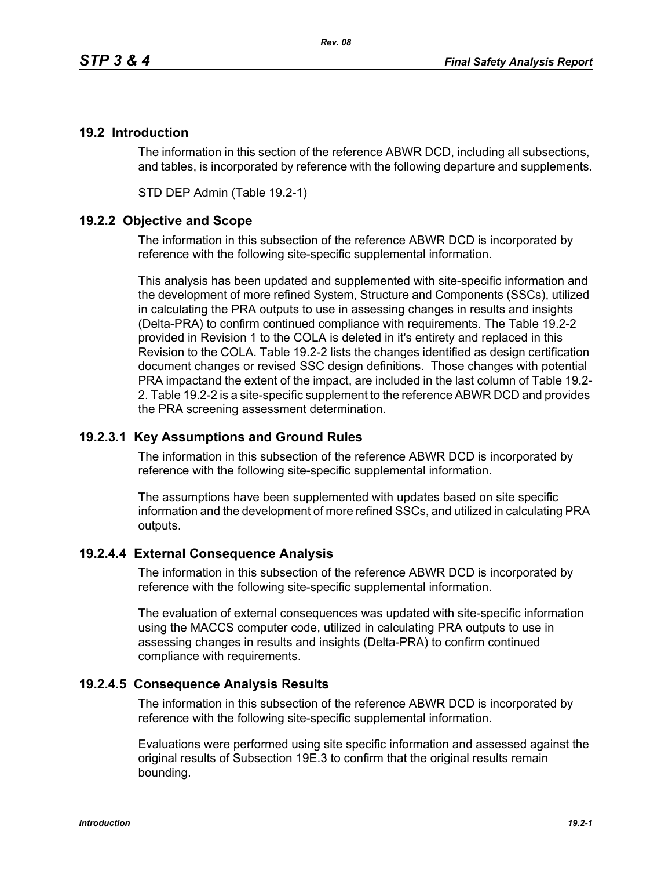# **19.2 Introduction**

The information in this section of the reference ABWR DCD, including all subsections, and tables, is incorporated by reference with the following departure and supplements.

STD DEP Admin (Table 19.2-1)

## **19.2.2 Objective and Scope**

The information in this subsection of the reference ABWR DCD is incorporated by reference with the following site-specific supplemental information.

This analysis has been updated and supplemented with site-specific information and the development of more refined System, Structure and Components (SSCs), utilized in calculating the PRA outputs to use in assessing changes in results and insights (Delta-PRA) to confirm continued compliance with requirements. The Table 19.2-2 provided in Revision 1 to the COLA is deleted in it's entirety and replaced in this Revision to the COLA. Table 19.2-2 lists the changes identified as design certification document changes or revised SSC design definitions. Those changes with potential PRA impactand the extent of the impact, are included in the last column of Table 19.2- 2. Table 19.2-2 is a site-specific supplement to the reference ABWR DCD and provides the PRA screening assessment determination.

### **19.2.3.1 Key Assumptions and Ground Rules**

The information in this subsection of the reference ABWR DCD is incorporated by reference with the following site-specific supplemental information.

The assumptions have been supplemented with updates based on site specific information and the development of more refined SSCs, and utilized in calculating PRA outputs.

### **19.2.4.4 External Consequence Analysis**

The information in this subsection of the reference ABWR DCD is incorporated by reference with the following site-specific supplemental information.

The evaluation of external consequences was updated with site-specific information using the MACCS computer code, utilized in calculating PRA outputs to use in assessing changes in results and insights (Delta-PRA) to confirm continued compliance with requirements.

### **19.2.4.5 Consequence Analysis Results**

The information in this subsection of the reference ABWR DCD is incorporated by reference with the following site-specific supplemental information.

Evaluations were performed using site specific information and assessed against the original results of Subsection 19E.3 to confirm that the original results remain bounding.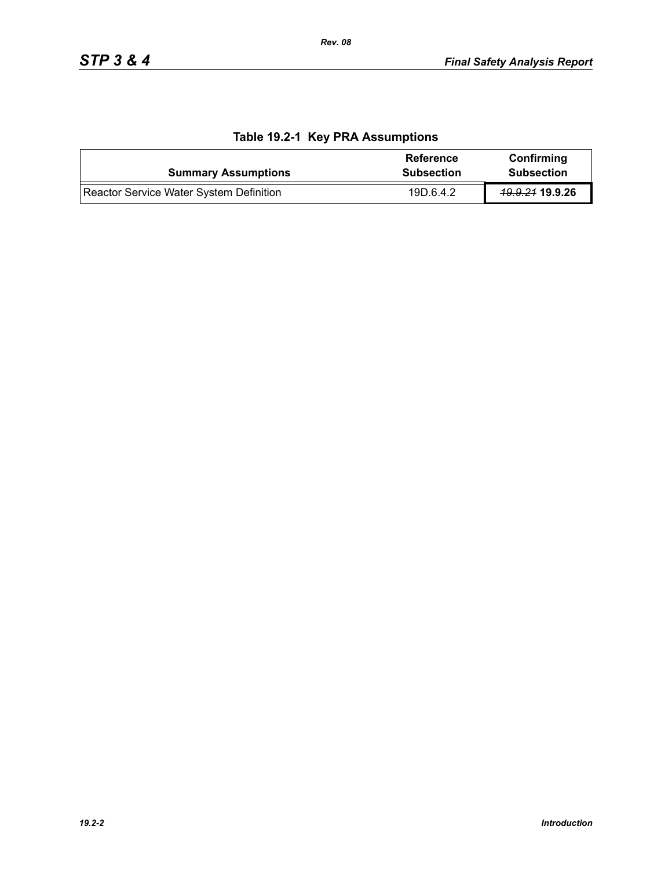| <b>Summary Assumptions</b>              | Reference<br><b>Subsection</b> | Confirming<br><b>Subsection</b> |
|-----------------------------------------|--------------------------------|---------------------------------|
| Reactor Service Water System Definition | 19D.6.4.2                      | <del>19.9.21</del> 19.9.26      |

# **Table 19.2-1 Key PRA Assumptions**

*Rev. 08*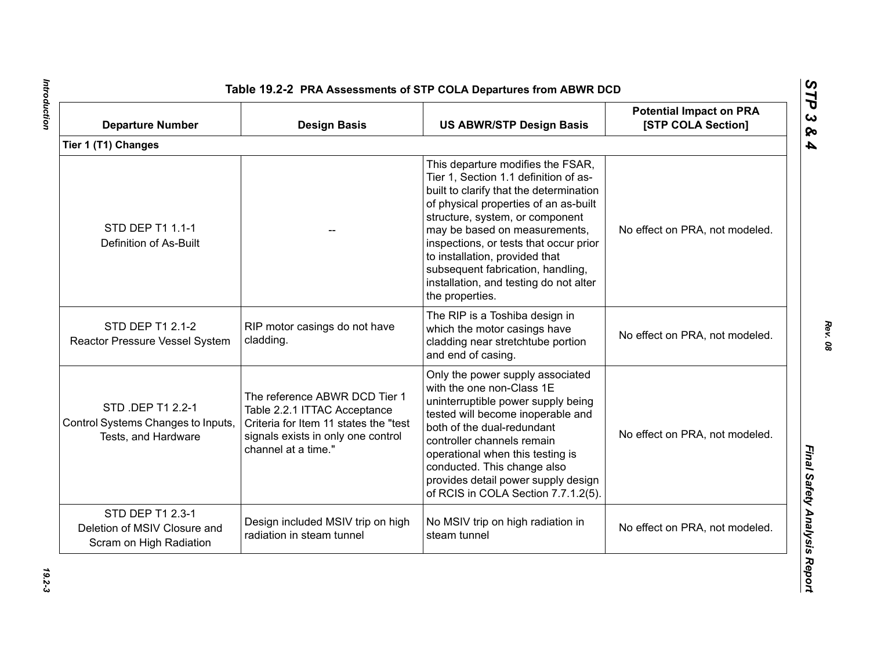| <b>Departure Number</b>                                                        | <b>Design Basis</b>                                                                                                                                                 | <b>US ABWR/STP Design Basis</b>                                                                                                                                                                                                                                                                                                                                                                                  | <b>Potential Impact on PRA</b><br>[STP COLA Section] |
|--------------------------------------------------------------------------------|---------------------------------------------------------------------------------------------------------------------------------------------------------------------|------------------------------------------------------------------------------------------------------------------------------------------------------------------------------------------------------------------------------------------------------------------------------------------------------------------------------------------------------------------------------------------------------------------|------------------------------------------------------|
| Tier 1 (T1) Changes                                                            |                                                                                                                                                                     |                                                                                                                                                                                                                                                                                                                                                                                                                  |                                                      |
| STD DEP T1 1.1-1<br>Definition of As-Built                                     |                                                                                                                                                                     | This departure modifies the FSAR,<br>Tier 1, Section 1.1 definition of as-<br>built to clarify that the determination<br>of physical properties of an as-built<br>structure, system, or component<br>may be based on measurements,<br>inspections, or tests that occur prior<br>to installation, provided that<br>subsequent fabrication, handling,<br>installation, and testing do not alter<br>the properties. | No effect on PRA, not modeled.                       |
| STD DEP T1 2.1-2<br>Reactor Pressure Vessel System                             | RIP motor casings do not have<br>cladding.                                                                                                                          | The RIP is a Toshiba design in<br>which the motor casings have<br>cladding near stretchtube portion<br>and end of casing.                                                                                                                                                                                                                                                                                        | No effect on PRA, not modeled.                       |
| STD .DEP T1 2.2-1<br>Control Systems Changes to Inputs,<br>Tests, and Hardware | The reference ABWR DCD Tier 1<br>Table 2.2.1 ITTAC Acceptance<br>Criteria for Item 11 states the "test<br>signals exists in only one control<br>channel at a time." | Only the power supply associated<br>with the one non-Class 1E<br>uninterruptible power supply being<br>tested will become inoperable and<br>both of the dual-redundant<br>controller channels remain<br>operational when this testing is<br>conducted. This change also<br>provides detail power supply design<br>of RCIS in COLA Section 7.7.1.2(5).                                                            | No effect on PRA, not modeled.                       |
| STD DEP T1 2.3-1<br>Deletion of MSIV Closure and<br>Scram on High Radiation    | Design included MSIV trip on high<br>radiation in steam tunnel                                                                                                      | No MSIV trip on high radiation in<br>steam tunnel                                                                                                                                                                                                                                                                                                                                                                | No effect on PRA, not modeled.                       |

Introduction *Introduction 19.2-3*

*Rev. 08*

*STP 3 & 4*

 $19.2 - 3$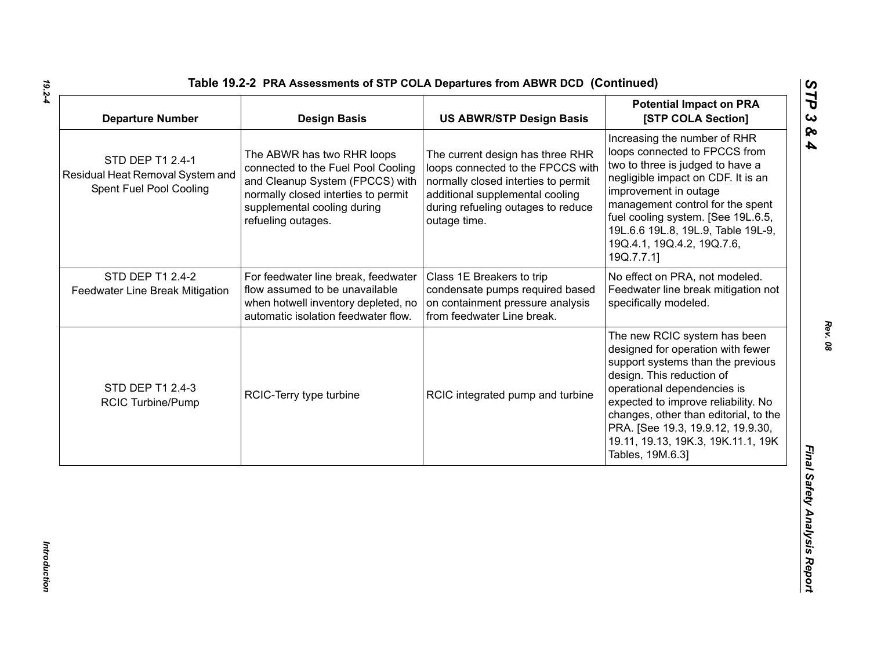| <b>Departure Number</b>                                                         | <b>Design Basis</b>                                                                                                                                                                             | <b>US ABWR/STP Design Basis</b>                                                                                                                                                                       | <b>Potential Impact on PRA</b><br>[STP COLA Section]                                                                                                                                                                                                                                                                                              |
|---------------------------------------------------------------------------------|-------------------------------------------------------------------------------------------------------------------------------------------------------------------------------------------------|-------------------------------------------------------------------------------------------------------------------------------------------------------------------------------------------------------|---------------------------------------------------------------------------------------------------------------------------------------------------------------------------------------------------------------------------------------------------------------------------------------------------------------------------------------------------|
| STD DEP T1 2.4-1<br>Residual Heat Removal System and<br>Spent Fuel Pool Cooling | The ABWR has two RHR loops<br>connected to the Fuel Pool Cooling<br>and Cleanup System (FPCCS) with<br>normally closed interties to permit<br>supplemental cooling during<br>refueling outages. | The current design has three RHR<br>loops connected to the FPCCS with<br>normally closed interties to permit<br>additional supplemental cooling<br>during refueling outages to reduce<br>outage time. | Increasing the number of RHR<br>loops connected to FPCCS from<br>two to three is judged to have a<br>negligible impact on CDF. It is an<br>improvement in outage<br>management control for the spent<br>fuel cooling system. [See 19L.6.5,<br>19L.6.6 19L.8, 19L.9, Table 19L-9,<br>19Q.4.1, 19Q.4.2, 19Q.7.6,<br>19Q.7.7.1]                      |
| STD DEP T1 2.4-2<br>Feedwater Line Break Mitigation                             | For feedwater line break, feedwater<br>flow assumed to be unavailable<br>when hotwell inventory depleted, no<br>automatic isolation feedwater flow.                                             | Class 1E Breakers to trip<br>condensate pumps required based<br>on containment pressure analysis<br>from feedwater Line break.                                                                        | No effect on PRA, not modeled.<br>Feedwater line break mitigation not<br>specifically modeled.                                                                                                                                                                                                                                                    |
| STD DEP T1 2.4-3<br><b>RCIC Turbine/Pump</b>                                    | RCIC-Terry type turbine                                                                                                                                                                         | RCIC integrated pump and turbine                                                                                                                                                                      | The new RCIC system has been<br>designed for operation with fewer<br>support systems than the previous<br>design. This reduction of<br>operational dependencies is<br>expected to improve reliability. No<br>changes, other than editorial, to the<br>PRA. [See 19.3, 19.9.12, 19.9.30,<br>19.11, 19.13, 19K.3, 19K.11.1, 19K<br>Tables, 19M.6.3] |

*19.2-4*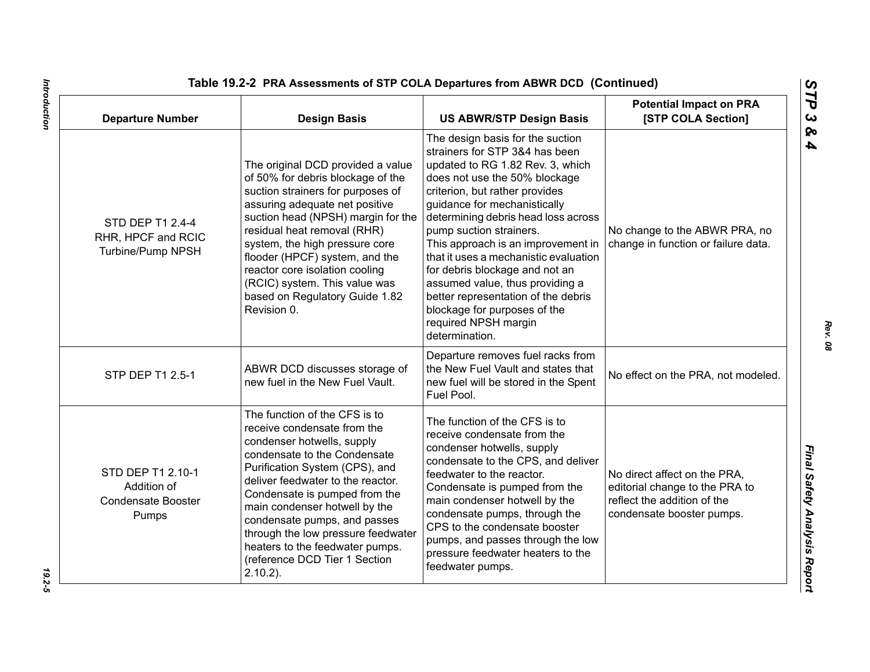| <b>Departure Number</b>                                                | <b>Design Basis</b>                                                                                                                                                                                                                                                                                                                                                                                                          | <b>US ABWR/STP Design Basis</b>                                                                                                                                                                                                                                                                                                                                                                                                                                                                                                                  | <b>Potential Impact on PRA</b><br>[STP COLA Section]                                                                       |
|------------------------------------------------------------------------|------------------------------------------------------------------------------------------------------------------------------------------------------------------------------------------------------------------------------------------------------------------------------------------------------------------------------------------------------------------------------------------------------------------------------|--------------------------------------------------------------------------------------------------------------------------------------------------------------------------------------------------------------------------------------------------------------------------------------------------------------------------------------------------------------------------------------------------------------------------------------------------------------------------------------------------------------------------------------------------|----------------------------------------------------------------------------------------------------------------------------|
| STD DEP T1 2.4-4<br>RHR, HPCF and RCIC<br>Turbine/Pump NPSH            | The original DCD provided a value<br>of 50% for debris blockage of the<br>suction strainers for purposes of<br>assuring adequate net positive<br>suction head (NPSH) margin for the<br>residual heat removal (RHR)<br>system, the high pressure core<br>flooder (HPCF) system, and the<br>reactor core isolation cooling<br>(RCIC) system. This value was<br>based on Regulatory Guide 1.82<br>Revision 0.                   | The design basis for the suction<br>strainers for STP 3&4 has been<br>updated to RG 1.82 Rev. 3, which<br>does not use the 50% blockage<br>criterion, but rather provides<br>guidance for mechanistically<br>determining debris head loss across<br>pump suction strainers.<br>This approach is an improvement in<br>that it uses a mechanistic evaluation<br>for debris blockage and not an<br>assumed value, thus providing a<br>better representation of the debris<br>blockage for purposes of the<br>required NPSH margin<br>determination. | No change to the ABWR PRA, no<br>change in function or failure data.                                                       |
| STP DEP T1 2.5-1                                                       | ABWR DCD discusses storage of<br>new fuel in the New Fuel Vault.                                                                                                                                                                                                                                                                                                                                                             | Departure removes fuel racks from<br>the New Fuel Vault and states that<br>new fuel will be stored in the Spent<br>Fuel Pool.                                                                                                                                                                                                                                                                                                                                                                                                                    | No effect on the PRA, not modeled.                                                                                         |
| STD DEP T1 2.10-1<br>Addition of<br><b>Condensate Booster</b><br>Pumps | The function of the CFS is to<br>receive condensate from the<br>condenser hotwells, supply<br>condensate to the Condensate<br>Purification System (CPS), and<br>deliver feedwater to the reactor.<br>Condensate is pumped from the<br>main condenser hotwell by the<br>condensate pumps, and passes<br>through the low pressure feedwater<br>heaters to the feedwater pumps.<br>(reference DCD Tier 1 Section<br>$2.10.2$ ). | The function of the CFS is to<br>receive condensate from the<br>condenser hotwells, supply<br>condensate to the CPS, and deliver<br>feedwater to the reactor.<br>Condensate is pumped from the<br>main condenser hotwell by the<br>condensate pumps, through the<br>CPS to the condensate booster<br>pumps, and passes through the low<br>pressure feedwater heaters to the<br>feedwater pumps.                                                                                                                                                  | No direct affect on the PRA.<br>editorial change to the PRA to<br>reflect the addition of the<br>condensate booster pumps. |

Introduction *Introduction 19.2-5*

*STP 3 & 4*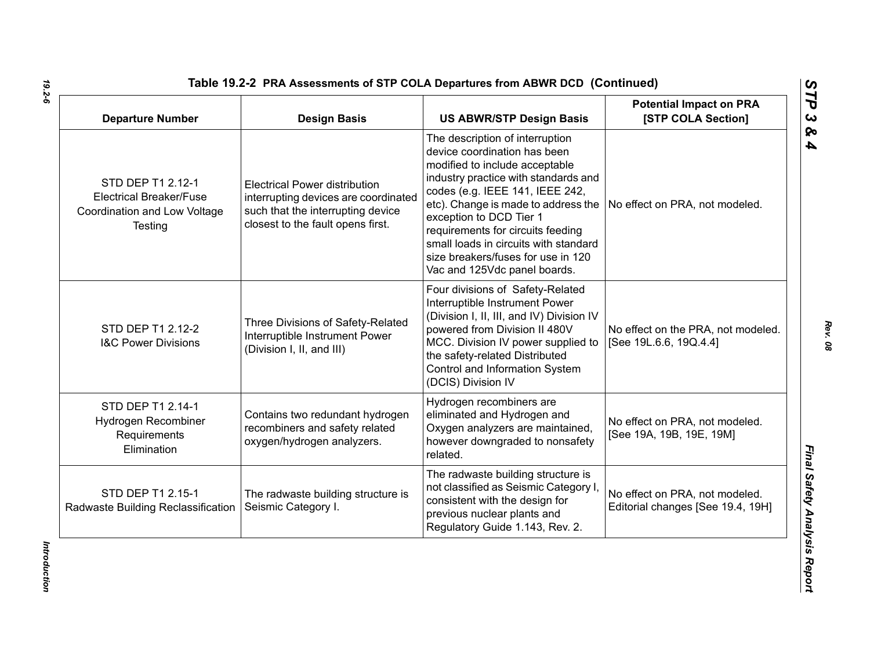| <b>Departure Number</b>                                                                        | <b>Design Basis</b>                                                                                                                                    | <b>US ABWR/STP Design Basis</b>                                                                                                                                                                                                                                                                                                                                                                    | <b>Potential Impact on PRA</b><br>[STP COLA Section]                |
|------------------------------------------------------------------------------------------------|--------------------------------------------------------------------------------------------------------------------------------------------------------|----------------------------------------------------------------------------------------------------------------------------------------------------------------------------------------------------------------------------------------------------------------------------------------------------------------------------------------------------------------------------------------------------|---------------------------------------------------------------------|
| STD DEP T1 2.12-1<br><b>Electrical Breaker/Fuse</b><br>Coordination and Low Voltage<br>Testing | <b>Electrical Power distribution</b><br>interrupting devices are coordinated<br>such that the interrupting device<br>closest to the fault opens first. | The description of interruption<br>device coordination has been<br>modified to include acceptable<br>industry practice with standards and<br>codes (e.g. IEEE 141, IEEE 242,<br>etc). Change is made to address the<br>exception to DCD Tier 1<br>requirements for circuits feeding<br>small loads in circuits with standard<br>size breakers/fuses for use in 120<br>Vac and 125Vdc panel boards. | No effect on PRA, not modeled.                                      |
| STD DEP T1 2.12-2<br><b>I&amp;C Power Divisions</b>                                            | Three Divisions of Safety-Related<br>Interruptible Instrument Power<br>(Division I, II, and III)                                                       | Four divisions of Safety-Related<br>Interruptible Instrument Power<br>(Division I, II, III, and IV) Division IV<br>powered from Division II 480V<br>MCC. Division IV power supplied to<br>the safety-related Distributed<br>Control and Information System<br>(DCIS) Division IV                                                                                                                   | No effect on the PRA, not modeled.<br>[See 19L.6.6, 19Q.4.4]        |
| STD DEP T1 2.14-1<br>Hydrogen Recombiner<br>Requirements<br>Elimination                        | Contains two redundant hydrogen<br>recombiners and safety related<br>oxygen/hydrogen analyzers.                                                        | Hydrogen recombiners are<br>eliminated and Hydrogen and<br>Oxygen analyzers are maintained,<br>however downgraded to nonsafety<br>related.                                                                                                                                                                                                                                                         | No effect on PRA, not modeled.<br>[See 19A, 19B, 19E, 19M]          |
| STD DEP T1 2.15-1<br>Radwaste Building Reclassification                                        | The radwaste building structure is<br>Seismic Category I.                                                                                              | The radwaste building structure is<br>not classified as Seismic Category I<br>consistent with the design for<br>previous nuclear plants and<br>Regulatory Guide 1.143, Rev. 2.                                                                                                                                                                                                                     | No effect on PRA, not modeled.<br>Editorial changes [See 19.4, 19H] |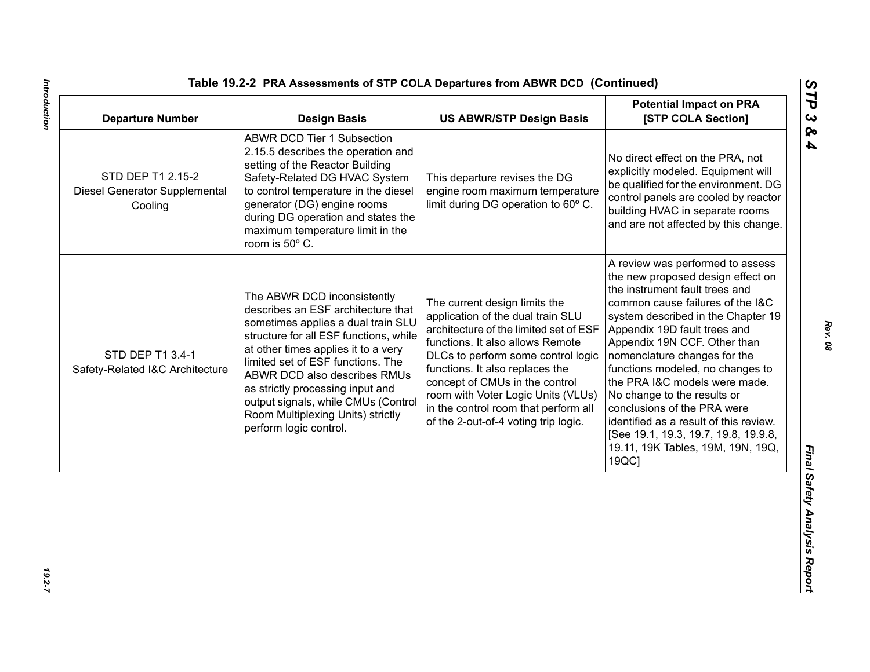| <b>ABWR DCD Tier 1 Subsection</b><br>2.15.5 describes the operation and<br>No direct effect on the PRA, not<br>setting of the Reactor Building<br>STD DEP T1 2.15-2<br>Safety-Related DG HVAC System<br>This departure revises the DG<br>to control temperature in the diesel<br>engine room maximum temperature<br>Diesel Generator Supplemental<br>limit during DG operation to 60° C.<br>generator (DG) engine rooms<br>Cooling<br>during DG operation and states the<br>maximum temperature limit in the<br>room is 50° C.<br>the instrument fault trees and<br>The ABWR DCD inconsistently<br>The current design limits the<br>describes an ESF architecture that<br>application of the dual train SLU<br>sometimes applies a dual train SLU<br>architecture of the limited set of ESF<br>Appendix 19D fault trees and<br>structure for all ESF functions, while<br>functions. It also allows Remote<br>Appendix 19N CCF. Other than<br>at other times applies it to a very<br>STD DEP T1 3.4-1<br>DLCs to perform some control logic<br>nomenclature changes for the<br>limited set of ESF functions. The<br>functions. It also replaces the<br>Safety-Related I&C Architecture<br>ABWR DCD also describes RMUs<br>concept of CMUs in the control<br>as strictly processing input and<br>room with Voter Logic Units (VLUs)<br>No change to the results or<br>output signals, while CMUs (Control<br>in the control room that perform all<br>conclusions of the PRA were<br>Room Multiplexing Units) strictly<br>of the 2-out-of-4 voting trip logic.<br>perform logic control. | <b>Departure Number</b> | <b>Design Basis</b> | <b>US ABWR/STP Design Basis</b> | <b>Potential Impact on PRA</b><br>[STP COLA Section]                                                                                                                                                                                                                                                                                        |
|---------------------------------------------------------------------------------------------------------------------------------------------------------------------------------------------------------------------------------------------------------------------------------------------------------------------------------------------------------------------------------------------------------------------------------------------------------------------------------------------------------------------------------------------------------------------------------------------------------------------------------------------------------------------------------------------------------------------------------------------------------------------------------------------------------------------------------------------------------------------------------------------------------------------------------------------------------------------------------------------------------------------------------------------------------------------------------------------------------------------------------------------------------------------------------------------------------------------------------------------------------------------------------------------------------------------------------------------------------------------------------------------------------------------------------------------------------------------------------------------------------------------------------------------------------------------------------------|-------------------------|---------------------|---------------------------------|---------------------------------------------------------------------------------------------------------------------------------------------------------------------------------------------------------------------------------------------------------------------------------------------------------------------------------------------|
|                                                                                                                                                                                                                                                                                                                                                                                                                                                                                                                                                                                                                                                                                                                                                                                                                                                                                                                                                                                                                                                                                                                                                                                                                                                                                                                                                                                                                                                                                                                                                                                       |                         |                     |                                 | explicitly modeled. Equipment will<br>be qualified for the environment. DG<br>control panels are cooled by reactor<br>building HVAC in separate rooms<br>and are not affected by this change.                                                                                                                                               |
| 19QC]                                                                                                                                                                                                                                                                                                                                                                                                                                                                                                                                                                                                                                                                                                                                                                                                                                                                                                                                                                                                                                                                                                                                                                                                                                                                                                                                                                                                                                                                                                                                                                                 |                         |                     |                                 | A review was performed to assess<br>the new proposed design effect on<br>common cause failures of the I&C<br>system described in the Chapter 19<br>functions modeled, no changes to<br>the PRA I&C models were made.<br>identified as a result of this review.<br>[See 19.1, 19.3, 19.7, 19.8, 19.9.8,<br>19.11, 19K Tables, 19M, 19N, 19Q, |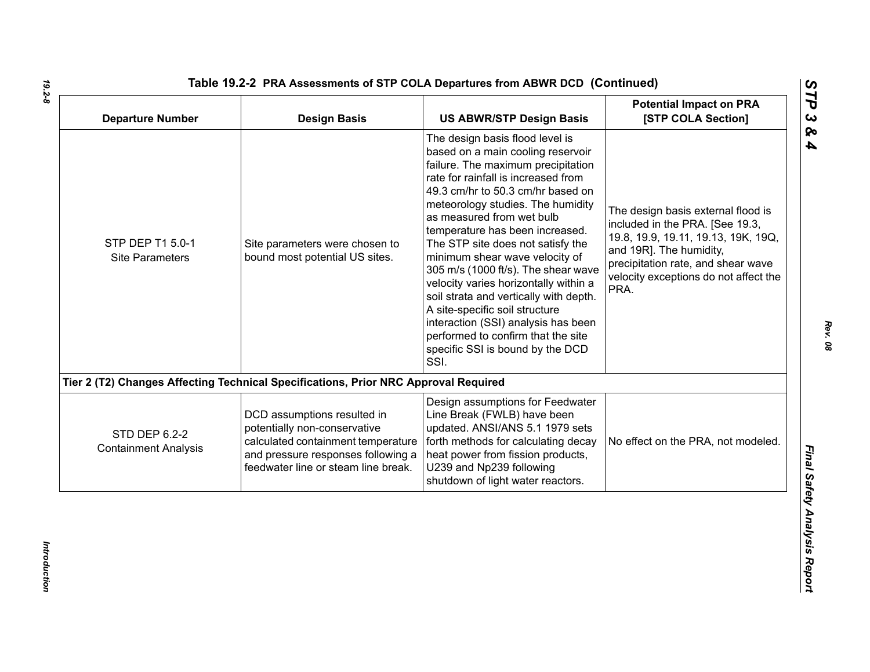| <b>Departure Number</b>                             | <b>Design Basis</b>                                                                                                                                                            | <b>US ABWR/STP Design Basis</b>                                                                                                                                                                                                                                                                                                                                                                                                                                                                                                                                                                                                                         | <b>Potential Impact on PRA</b><br>[STP COLA Section]                                                                                                                                                                           |
|-----------------------------------------------------|--------------------------------------------------------------------------------------------------------------------------------------------------------------------------------|---------------------------------------------------------------------------------------------------------------------------------------------------------------------------------------------------------------------------------------------------------------------------------------------------------------------------------------------------------------------------------------------------------------------------------------------------------------------------------------------------------------------------------------------------------------------------------------------------------------------------------------------------------|--------------------------------------------------------------------------------------------------------------------------------------------------------------------------------------------------------------------------------|
| STP DEP T1 5.0-1<br><b>Site Parameters</b>          | Site parameters were chosen to<br>bound most potential US sites.                                                                                                               | The design basis flood level is<br>based on a main cooling reservoir<br>failure. The maximum precipitation<br>rate for rainfall is increased from<br>49.3 cm/hr to 50.3 cm/hr based on<br>meteorology studies. The humidity<br>as measured from wet bulb<br>temperature has been increased.<br>The STP site does not satisfy the<br>minimum shear wave velocity of<br>305 m/s (1000 ft/s). The shear wave<br>velocity varies horizontally within a<br>soil strata and vertically with depth.<br>A site-specific soil structure<br>interaction (SSI) analysis has been<br>performed to confirm that the site<br>specific SSI is bound by the DCD<br>SSI. | The design basis external flood is<br>included in the PRA. [See 19.3,<br>19.8, 19.9, 19.11, 19.13, 19K, 19Q,<br>and 19R]. The humidity,<br>precipitation rate, and shear wave<br>velocity exceptions do not affect the<br>PRA. |
|                                                     | Tier 2 (T2) Changes Affecting Technical Specifications, Prior NRC Approval Required                                                                                            |                                                                                                                                                                                                                                                                                                                                                                                                                                                                                                                                                                                                                                                         |                                                                                                                                                                                                                                |
| <b>STD DEP 6.2-2</b><br><b>Containment Analysis</b> | DCD assumptions resulted in<br>potentially non-conservative<br>calculated containment temperature<br>and pressure responses following a<br>feedwater line or steam line break. | Design assumptions for Feedwater<br>Line Break (FWLB) have been<br>updated. ANSI/ANS 5.1 1979 sets<br>forth methods for calculating decay<br>heat power from fission products,<br>U239 and Np239 following<br>shutdown of light water reactors.                                                                                                                                                                                                                                                                                                                                                                                                         | No effect on the PRA, not modeled.                                                                                                                                                                                             |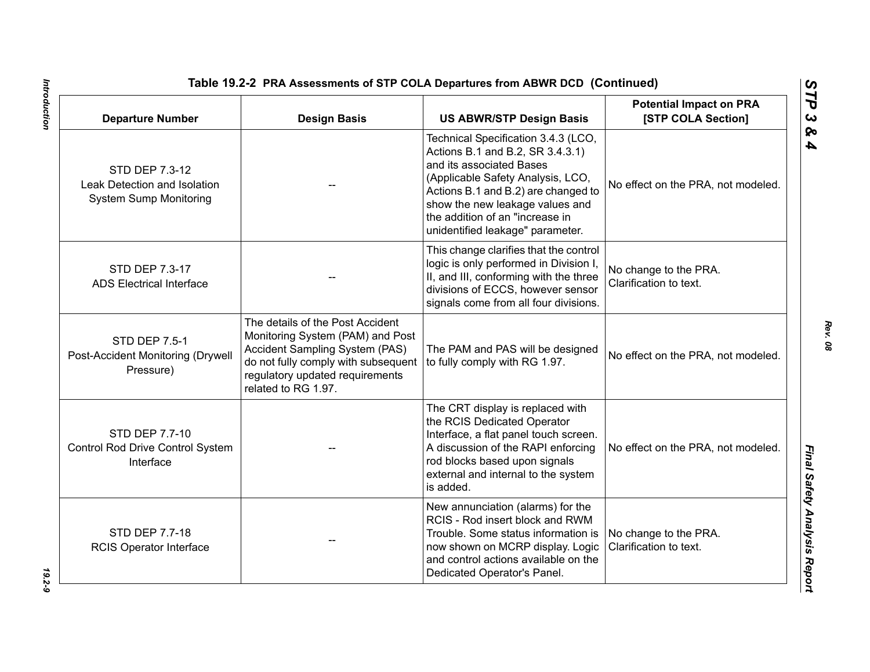| <b>Departure Number</b>                                                         | <b>Design Basis</b>                                                                                                                                                                                     | Table 19.2-2 PRA Assessments of STP COLA Departures from ABWR DCD (Continued)<br><b>US ABWR/STP Design Basis</b>                                                                                                                                                                          | <b>Potential Impact on PRA</b><br>[STP COLA Section] |
|---------------------------------------------------------------------------------|---------------------------------------------------------------------------------------------------------------------------------------------------------------------------------------------------------|-------------------------------------------------------------------------------------------------------------------------------------------------------------------------------------------------------------------------------------------------------------------------------------------|------------------------------------------------------|
| STD DEP 7.3-12<br>Leak Detection and Isolation<br><b>System Sump Monitoring</b> |                                                                                                                                                                                                         | Technical Specification 3.4.3 (LCO,<br>Actions B.1 and B.2, SR 3.4.3.1)<br>and its associated Bases<br>(Applicable Safety Analysis, LCO,<br>Actions B.1 and B.2) are changed to<br>show the new leakage values and<br>the addition of an "increase in<br>unidentified leakage" parameter. | No effect on the PRA, not modeled.                   |
| STD DEP 7.3-17<br><b>ADS Electrical Interface</b>                               |                                                                                                                                                                                                         | This change clarifies that the control<br>logic is only performed in Division I,<br>II, and III, conforming with the three<br>divisions of ECCS, however sensor<br>signals come from all four divisions.                                                                                  | No change to the PRA.<br>Clarification to text.      |
| <b>STD DEP 7.5-1</b><br>Post-Accident Monitoring (Drywell<br>Pressure)          | The details of the Post Accident<br>Monitoring System (PAM) and Post<br>Accident Sampling System (PAS)<br>do not fully comply with subsequent<br>regulatory updated requirements<br>related to RG 1.97. | The PAM and PAS will be designed<br>to fully comply with RG 1.97.                                                                                                                                                                                                                         | No effect on the PRA, not modeled.                   |
| STD DEP 7.7-10<br>Control Rod Drive Control System<br>Interface                 |                                                                                                                                                                                                         | The CRT display is replaced with<br>the RCIS Dedicated Operator<br>Interface, a flat panel touch screen.<br>A discussion of the RAPI enforcing<br>rod blocks based upon signals<br>external and internal to the system<br>is added.                                                       | No effect on the PRA, not modeled.                   |
| STD DEP 7.7-18<br><b>RCIS Operator Interface</b>                                |                                                                                                                                                                                                         | New annunciation (alarms) for the<br>RCIS - Rod insert block and RWM<br>Trouble. Some status information is<br>now shown on MCRP display. Logic<br>and control actions available on the<br>Dedicated Operator's Panel.                                                                    | No change to the PRA.<br>Clarification to text.      |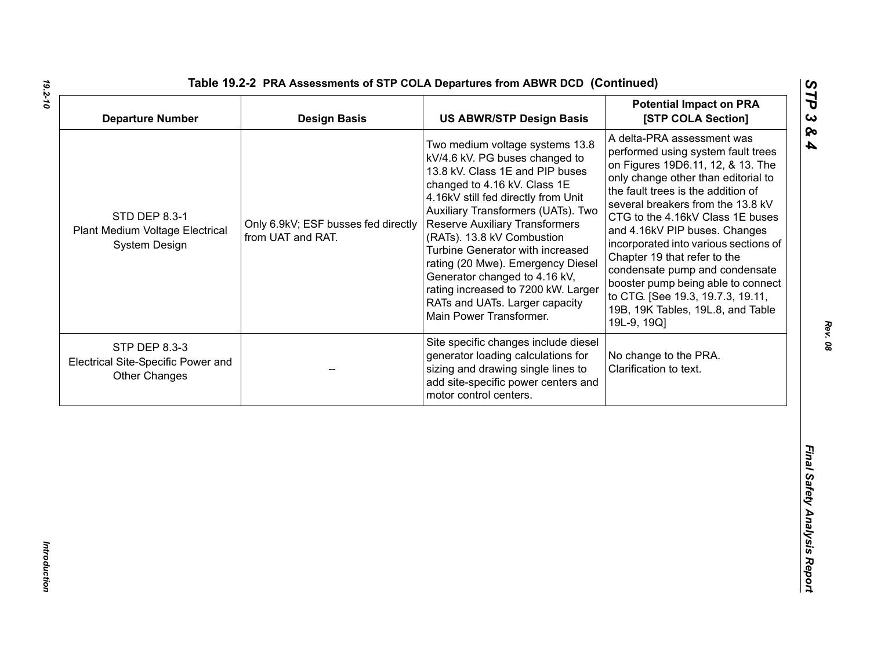| <b>Departure Number</b>                                                     | <b>Design Basis</b>                                      | <b>US ABWR/STP Design Basis</b>                                                                                                                                                                                                                                                                                                                                                                                                                                                                        | <b>Potential Impact on PRA</b><br>[STP COLA Section]                                                                                                                                                                                                                                                                                                                                                                                                                                                                                   |
|-----------------------------------------------------------------------------|----------------------------------------------------------|--------------------------------------------------------------------------------------------------------------------------------------------------------------------------------------------------------------------------------------------------------------------------------------------------------------------------------------------------------------------------------------------------------------------------------------------------------------------------------------------------------|----------------------------------------------------------------------------------------------------------------------------------------------------------------------------------------------------------------------------------------------------------------------------------------------------------------------------------------------------------------------------------------------------------------------------------------------------------------------------------------------------------------------------------------|
| STD DEP 8.3-1<br>Plant Medium Voltage Electrical<br>System Design           | Only 6.9kV; ESF busses fed directly<br>from UAT and RAT. | Two medium voltage systems 13.8<br>kV/4.6 kV. PG buses changed to<br>13.8 kV. Class 1E and PIP buses<br>changed to 4.16 kV. Class 1E<br>4.16kV still fed directly from Unit<br>Auxiliary Transformers (UATs). Two<br><b>Reserve Auxiliary Transformers</b><br>(RATs). 13.8 kV Combustion<br>Turbine Generator with increased<br>rating (20 Mwe). Emergency Diesel<br>Generator changed to 4.16 kV,<br>rating increased to 7200 kW. Larger<br>RATs and UATs. Larger capacity<br>Main Power Transformer. | A delta-PRA assessment was<br>performed using system fault trees<br>on Figures 19D6.11, 12, & 13. The<br>only change other than editorial to<br>the fault trees is the addition of<br>several breakers from the 13.8 kV<br>CTG to the 4.16kV Class 1E buses<br>and 4.16kV PIP buses. Changes<br>incorporated into various sections of<br>Chapter 19 that refer to the<br>condensate pump and condensate<br>booster pump being able to connect<br>to CTG. [See 19.3, 19.7.3, 19.11,<br>19B, 19K Tables, 19L.8, and Table<br>19L-9, 19Q] |
| STP DEP 8.3-3<br>Electrical Site-Specific Power and<br><b>Other Changes</b> |                                                          | Site specific changes include diesel<br>generator loading calculations for<br>sizing and drawing single lines to<br>add site-specific power centers and<br>motor control centers.                                                                                                                                                                                                                                                                                                                      | No change to the PRA.<br>Clarification to text.                                                                                                                                                                                                                                                                                                                                                                                                                                                                                        |
|                                                                             |                                                          |                                                                                                                                                                                                                                                                                                                                                                                                                                                                                                        |                                                                                                                                                                                                                                                                                                                                                                                                                                                                                                                                        |

*19.2-10*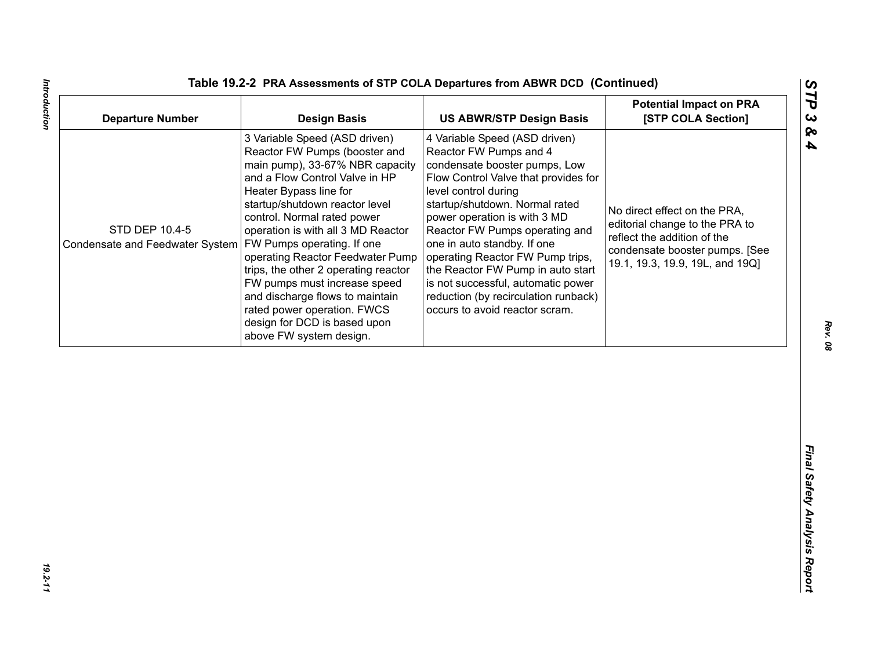| <b>Departure Number</b>                                                        | <b>Design Basis</b>                                                                                                                                                                                                                                                                                                                                                                                                                                                                                           | <b>US ABWR/STP Design Basis</b>                                                                                                                                                                                                                                                                                                                                                                                                                                                      | <b>Potential Impact on PRA</b><br>[STP COLA Section]                                                                                                               |
|--------------------------------------------------------------------------------|---------------------------------------------------------------------------------------------------------------------------------------------------------------------------------------------------------------------------------------------------------------------------------------------------------------------------------------------------------------------------------------------------------------------------------------------------------------------------------------------------------------|--------------------------------------------------------------------------------------------------------------------------------------------------------------------------------------------------------------------------------------------------------------------------------------------------------------------------------------------------------------------------------------------------------------------------------------------------------------------------------------|--------------------------------------------------------------------------------------------------------------------------------------------------------------------|
| STD DEP 10.4-5<br>Condensate and Feedwater System   FW Pumps operating. If one | 3 Variable Speed (ASD driven)<br>Reactor FW Pumps (booster and<br>main pump), 33-67% NBR capacity<br>and a Flow Control Valve in HP<br>Heater Bypass line for<br>startup/shutdown reactor level<br>control. Normal rated power<br>operation is with all 3 MD Reactor<br>operating Reactor Feedwater Pump<br>trips, the other 2 operating reactor<br>FW pumps must increase speed<br>and discharge flows to maintain<br>rated power operation. FWCS<br>design for DCD is based upon<br>above FW system design. | 4 Variable Speed (ASD driven)<br>Reactor FW Pumps and 4<br>condensate booster pumps, Low<br>Flow Control Valve that provides for<br>level control during<br>startup/shutdown. Normal rated<br>power operation is with 3 MD<br>Reactor FW Pumps operating and<br>one in auto standby. If one<br>operating Reactor FW Pump trips,<br>the Reactor FW Pump in auto start<br>is not successful, automatic power<br>reduction (by recirculation runback)<br>occurs to avoid reactor scram. | No direct effect on the PRA,<br>editorial change to the PRA to<br>reflect the addition of the<br>condensate booster pumps. [See<br>19.1, 19.3, 19.9, 19L, and 19Q] |
|                                                                                |                                                                                                                                                                                                                                                                                                                                                                                                                                                                                                               |                                                                                                                                                                                                                                                                                                                                                                                                                                                                                      |                                                                                                                                                                    |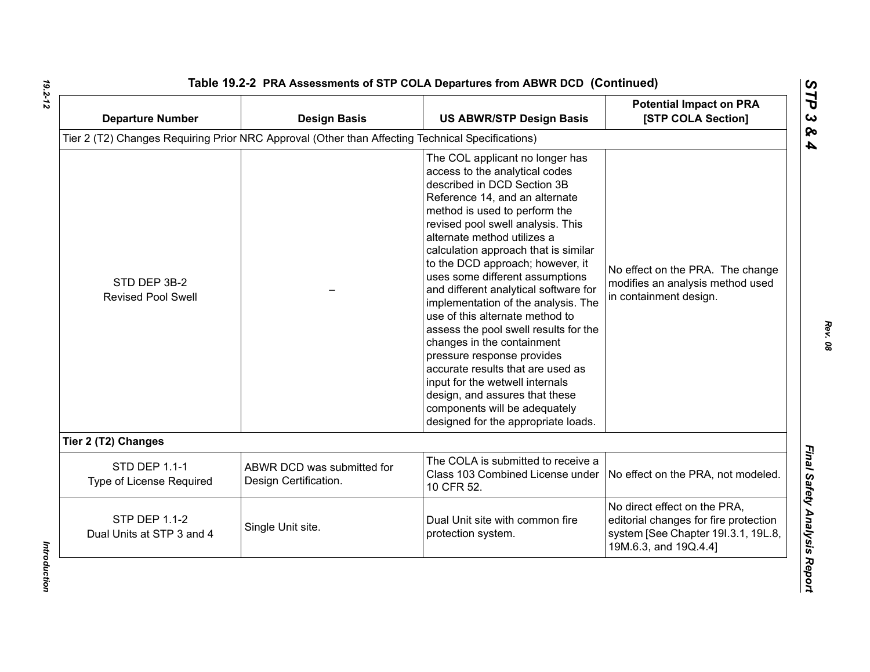| <b>Departure Number</b>                           | <b>Design Basis</b>                                                                              | <b>US ABWR/STP Design Basis</b>                                                                                                                                                                                                                                                                                                                                                                                                                                                                                                                                                                                                                                                                                                                                  | <b>Potential Impact on PRA</b><br>[STP COLA Section]                                                                                  |
|---------------------------------------------------|--------------------------------------------------------------------------------------------------|------------------------------------------------------------------------------------------------------------------------------------------------------------------------------------------------------------------------------------------------------------------------------------------------------------------------------------------------------------------------------------------------------------------------------------------------------------------------------------------------------------------------------------------------------------------------------------------------------------------------------------------------------------------------------------------------------------------------------------------------------------------|---------------------------------------------------------------------------------------------------------------------------------------|
|                                                   | Tier 2 (T2) Changes Requiring Prior NRC Approval (Other than Affecting Technical Specifications) |                                                                                                                                                                                                                                                                                                                                                                                                                                                                                                                                                                                                                                                                                                                                                                  |                                                                                                                                       |
| STD DEP 3B-2<br><b>Revised Pool Swell</b>         |                                                                                                  | The COL applicant no longer has<br>access to the analytical codes<br>described in DCD Section 3B<br>Reference 14, and an alternate<br>method is used to perform the<br>revised pool swell analysis. This<br>alternate method utilizes a<br>calculation approach that is similar<br>to the DCD approach; however, it<br>uses some different assumptions<br>and different analytical software for<br>implementation of the analysis. The<br>use of this alternate method to<br>assess the pool swell results for the<br>changes in the containment<br>pressure response provides<br>accurate results that are used as<br>input for the wetwell internals<br>design, and assures that these<br>components will be adequately<br>designed for the appropriate loads. | No effect on the PRA. The change<br>modifies an analysis method used<br>in containment design.                                        |
| Tier 2 (T2) Changes                               |                                                                                                  |                                                                                                                                                                                                                                                                                                                                                                                                                                                                                                                                                                                                                                                                                                                                                                  |                                                                                                                                       |
| <b>STD DEP 1.1-1</b><br>Type of License Required  | ABWR DCD was submitted for<br>Design Certification.                                              | The COLA is submitted to receive a<br>Class 103 Combined License under<br>10 CFR 52.                                                                                                                                                                                                                                                                                                                                                                                                                                                                                                                                                                                                                                                                             | No effect on the PRA, not modeled.                                                                                                    |
| <b>STP DEP 1.1-2</b><br>Dual Units at STP 3 and 4 | Single Unit site.                                                                                | Dual Unit site with common fire<br>protection system.                                                                                                                                                                                                                                                                                                                                                                                                                                                                                                                                                                                                                                                                                                            | No direct effect on the PRA,<br>editorial changes for fire protection<br>system [See Chapter 191.3.1, 19L.8,<br>19M.6.3, and 19Q.4.4] |

*Rev. 08*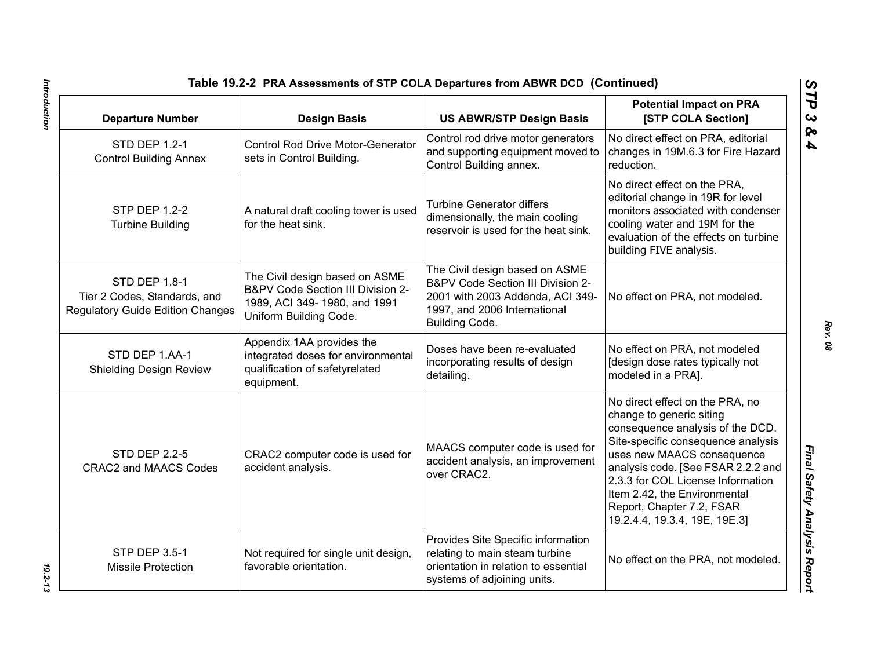| Table 19.2-2 PRA Assessments of STP COLA Departures from ABWR DCD (Continued)                                 |                                                                                                                               |                                                                                                                                                                                                                                                                                                                                              |                                                                                                                                                                                                             |
|---------------------------------------------------------------------------------------------------------------|-------------------------------------------------------------------------------------------------------------------------------|----------------------------------------------------------------------------------------------------------------------------------------------------------------------------------------------------------------------------------------------------------------------------------------------------------------------------------------------|-------------------------------------------------------------------------------------------------------------------------------------------------------------------------------------------------------------|
| <b>Departure Number</b>                                                                                       | <b>Design Basis</b>                                                                                                           | <b>US ABWR/STP Design Basis</b>                                                                                                                                                                                                                                                                                                              | <b>Potential Impact on PRA</b><br>[STP COLA Section]                                                                                                                                                        |
| STD DEP 1.2-1<br><b>Control Building Annex</b>                                                                | <b>Control Rod Drive Motor-Generator</b><br>sets in Control Building.                                                         | Control rod drive motor generators<br>and supporting equipment moved to<br>Control Building annex.                                                                                                                                                                                                                                           | No direct effect on PRA, editorial<br>changes in 19M.6.3 for Fire Hazard<br>reduction.                                                                                                                      |
| <b>STP DEP 1.2-2</b><br><b>Turbine Building</b>                                                               | A natural draft cooling tower is used<br>for the heat sink.                                                                   | <b>Turbine Generator differs</b><br>dimensionally, the main cooling<br>reservoir is used for the heat sink.                                                                                                                                                                                                                                  | No direct effect on the PRA,<br>editorial change in 19R for level<br>monitors associated with condenser<br>cooling water and 19M for the<br>evaluation of the effects on turbine<br>building FIVE analysis. |
| STD DEP 1.8-1<br>Tier 2 Codes, Standards, and<br><b>Regulatory Guide Edition Changes</b>                      | The Civil design based on ASME<br>B&PV Code Section III Division 2-<br>1989, ACI 349-1980, and 1991<br>Uniform Building Code. | The Civil design based on ASME<br>B&PV Code Section III Division 2-<br>2001 with 2003 Addenda, ACI 349-<br>1997, and 2006 International<br>Building Code.                                                                                                                                                                                    | No effect on PRA, not modeled.                                                                                                                                                                              |
| STD DEP 1.AA-1<br><b>Shielding Design Review</b>                                                              | Appendix 1AA provides the<br>integrated doses for environmental<br>qualification of safetyrelated<br>equipment.               | Doses have been re-evaluated<br>incorporating results of design<br>detailing.                                                                                                                                                                                                                                                                | No effect on PRA, not modeled<br>[design dose rates typically not<br>modeled in a PRA].                                                                                                                     |
| <b>STD DEP 2.2-5</b><br>CRAC2 computer code is used for<br>accident analysis.<br><b>CRAC2 and MAACS Codes</b> | MAACS computer code is used for<br>accident analysis, an improvement<br>over CRAC2.                                           | No direct effect on the PRA, no<br>change to generic siting<br>consequence analysis of the DCD.<br>Site-specific consequence analysis<br>uses new MAACS consequence<br>analysis code. [See FSAR 2.2.2 and<br>2.3.3 for COL License Information<br>Item 2.42, the Environmental<br>Report, Chapter 7.2, FSAR<br>19.2.4.4, 19.3.4, 19E, 19E.3] |                                                                                                                                                                                                             |
| <b>STP DEP 3.5-1</b><br><b>Missile Protection</b>                                                             | Not required for single unit design,<br>favorable orientation.                                                                | Provides Site Specific information<br>relating to main steam turbine<br>orientation in relation to essential<br>systems of adjoining units.                                                                                                                                                                                                  | No effect on the PRA, not modeled.                                                                                                                                                                          |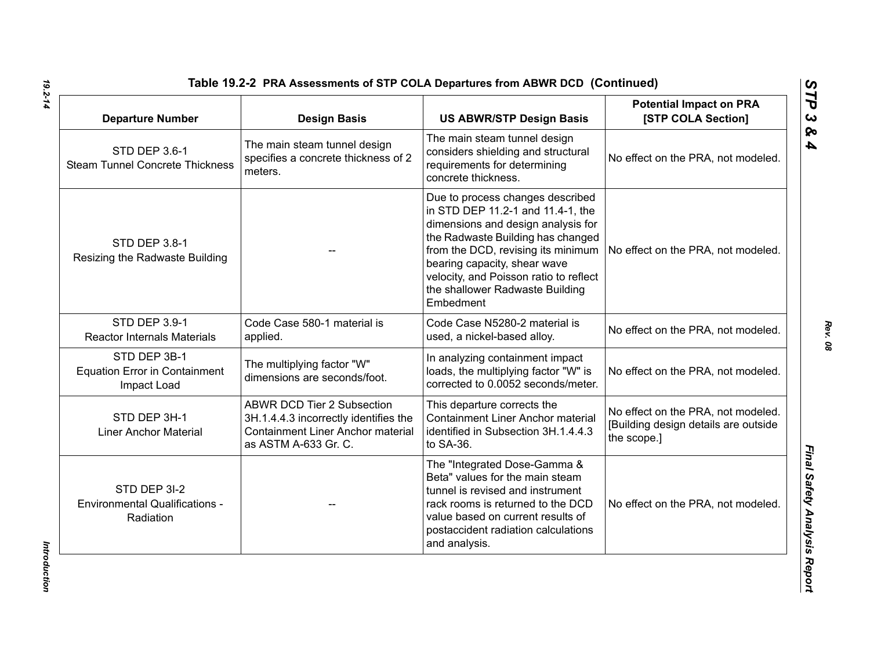| <b>Departure Number</b>                                             | <b>Design Basis</b>                                                                                                                            | <b>US ABWR/STP Design Basis</b>                                                                                                                                                                                                                                                                                  | <b>Potential Impact on PRA</b><br>[STP COLA Section]                                      |
|---------------------------------------------------------------------|------------------------------------------------------------------------------------------------------------------------------------------------|------------------------------------------------------------------------------------------------------------------------------------------------------------------------------------------------------------------------------------------------------------------------------------------------------------------|-------------------------------------------------------------------------------------------|
| STD DEP 3.6-1<br><b>Steam Tunnel Concrete Thickness</b>             | The main steam tunnel design<br>specifies a concrete thickness of 2<br>meters.                                                                 | The main steam tunnel design<br>considers shielding and structural<br>requirements for determining<br>concrete thickness.                                                                                                                                                                                        | No effect on the PRA, not modeled.                                                        |
| STD DEP 3.8-1<br>Resizing the Radwaste Building                     |                                                                                                                                                | Due to process changes described<br>in STD DEP 11.2-1 and 11.4-1, the<br>dimensions and design analysis for<br>the Radwaste Building has changed<br>from the DCD, revising its minimum<br>bearing capacity, shear wave<br>velocity, and Poisson ratio to reflect<br>the shallower Radwaste Building<br>Embedment | No effect on the PRA, not modeled.                                                        |
| STD DEP 3.9-1<br><b>Reactor Internals Materials</b>                 | Code Case 580-1 material is<br>applied.                                                                                                        | Code Case N5280-2 material is<br>used, a nickel-based alloy.                                                                                                                                                                                                                                                     | No effect on the PRA, not modeled.                                                        |
| STD DEP 3B-1<br><b>Equation Error in Containment</b><br>Impact Load | The multiplying factor "W"<br>dimensions are seconds/foot.                                                                                     | In analyzing containment impact<br>loads, the multiplying factor "W" is<br>corrected to 0.0052 seconds/meter.                                                                                                                                                                                                    | No effect on the PRA, not modeled.                                                        |
| STD DEP 3H-1<br><b>Liner Anchor Material</b>                        | <b>ABWR DCD Tier 2 Subsection</b><br>3H.1.4.4.3 incorrectly identifies the<br><b>Containment Liner Anchor material</b><br>as ASTM A-633 Gr. C. | This departure corrects the<br><b>Containment Liner Anchor material</b><br>identified in Subsection 3H.1.4.4.3<br>to SA-36.                                                                                                                                                                                      | No effect on the PRA, not modeled.<br>[Building design details are outside<br>the scope.] |
| STD DEP 3I-2<br><b>Environmental Qualifications -</b><br>Radiation  |                                                                                                                                                | The "Integrated Dose-Gamma &<br>Beta" values for the main steam<br>tunnel is revised and instrument<br>rack rooms is returned to the DCD<br>value based on current results of<br>postaccident radiation calculations<br>and analysis.                                                                            | No effect on the PRA, not modeled.                                                        |

Introduction *Introduction*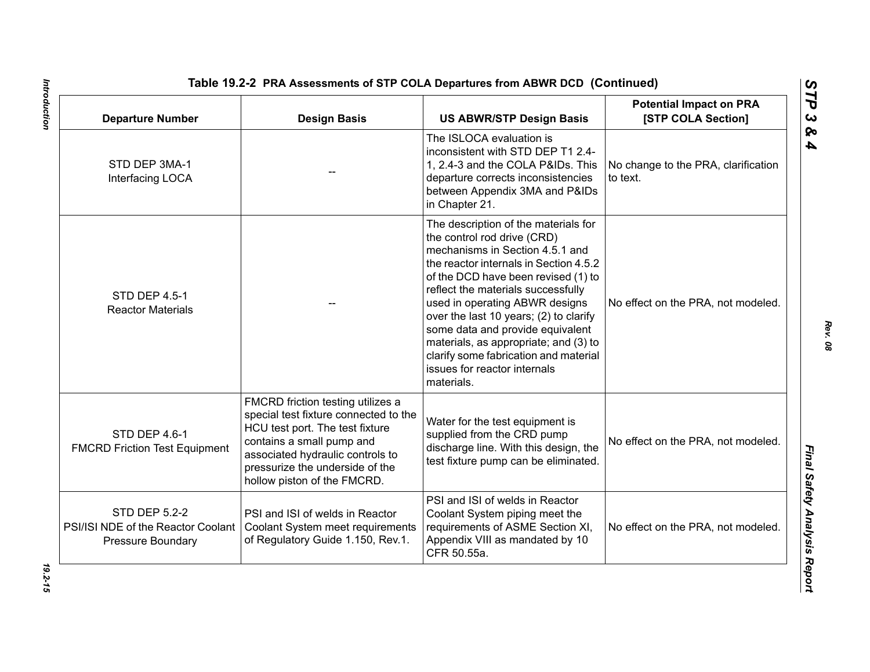| <b>Departure Number</b>                                                                | <b>Design Basis</b>                                                                                                                                                                                                                              | <b>US ABWR/STP Design Basis</b>                                                                                                                                                                                                                                                                                                                                                                                                                                               | <b>Potential Impact on PRA</b><br>[STP COLA Section] |
|----------------------------------------------------------------------------------------|--------------------------------------------------------------------------------------------------------------------------------------------------------------------------------------------------------------------------------------------------|-------------------------------------------------------------------------------------------------------------------------------------------------------------------------------------------------------------------------------------------------------------------------------------------------------------------------------------------------------------------------------------------------------------------------------------------------------------------------------|------------------------------------------------------|
| STD DEP 3MA-1<br>Interfacing LOCA                                                      |                                                                                                                                                                                                                                                  | The ISLOCA evaluation is<br>inconsistent with STD DEP T1 2.4-<br>1, 2.4-3 and the COLA P&IDs. This<br>departure corrects inconsistencies<br>between Appendix 3MA and P&IDs<br>in Chapter 21.                                                                                                                                                                                                                                                                                  | No change to the PRA, clarification<br>to text.      |
| <b>STD DEP 4.5-1</b><br><b>Reactor Materials</b>                                       |                                                                                                                                                                                                                                                  | The description of the materials for<br>the control rod drive (CRD)<br>mechanisms in Section 4.5.1 and<br>the reactor internals in Section 4.5.2<br>of the DCD have been revised (1) to<br>reflect the materials successfully<br>used in operating ABWR designs<br>over the last 10 years; (2) to clarify<br>some data and provide equivalent<br>materials, as appropriate; and (3) to<br>clarify some fabrication and material<br>issues for reactor internals<br>materials. | No effect on the PRA, not modeled.                   |
| STD DEP 4.6-1<br><b>FMCRD Friction Test Equipment</b>                                  | FMCRD friction testing utilizes a<br>special test fixture connected to the<br>HCU test port. The test fixture<br>contains a small pump and<br>associated hydraulic controls to<br>pressurize the underside of the<br>hollow piston of the FMCRD. | Water for the test equipment is<br>supplied from the CRD pump<br>discharge line. With this design, the<br>test fixture pump can be eliminated.                                                                                                                                                                                                                                                                                                                                | No effect on the PRA, not modeled.                   |
| <b>STD DEP 5.2-2</b><br>PSI/ISI NDE of the Reactor Coolant<br><b>Pressure Boundary</b> | PSI and ISI of welds in Reactor<br>Coolant System meet requirements<br>of Regulatory Guide 1.150, Rev.1.                                                                                                                                         | PSI and ISI of welds in Reactor<br>Coolant System piping meet the<br>requirements of ASME Section XI,<br>Appendix VIII as mandated by 10<br>CFR 50.55a.                                                                                                                                                                                                                                                                                                                       | No effect on the PRA, not modeled.                   |

*Rev. 08*

*STP 3 & 4*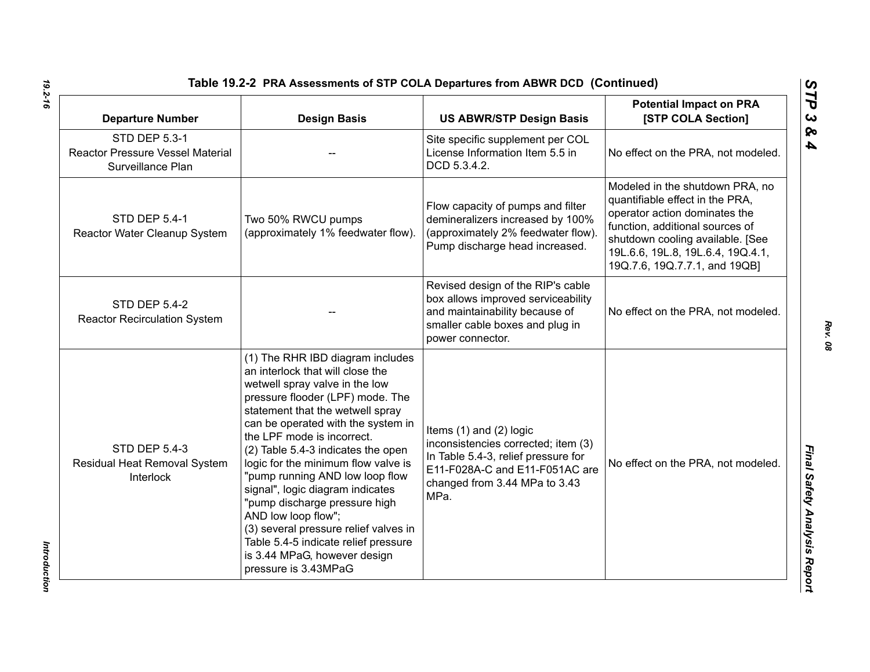| <b>Departure Number</b>                                                              | <b>Design Basis</b>                                                                                                                                                                                                                                                                                                                                                                                                                                                                                                                                                                                     | <b>US ABWR/STP Design Basis</b>                                                                                                                                                      | <b>Potential Impact on PRA</b><br>[STP COLA Section]                                                                                                                                                                                             |
|--------------------------------------------------------------------------------------|---------------------------------------------------------------------------------------------------------------------------------------------------------------------------------------------------------------------------------------------------------------------------------------------------------------------------------------------------------------------------------------------------------------------------------------------------------------------------------------------------------------------------------------------------------------------------------------------------------|--------------------------------------------------------------------------------------------------------------------------------------------------------------------------------------|--------------------------------------------------------------------------------------------------------------------------------------------------------------------------------------------------------------------------------------------------|
| <b>STD DEP 5.3-1</b><br><b>Reactor Pressure Vessel Material</b><br>Surveillance Plan |                                                                                                                                                                                                                                                                                                                                                                                                                                                                                                                                                                                                         | Site specific supplement per COL<br>License Information Item 5.5 in<br>DCD 5.3.4.2.                                                                                                  | No effect on the PRA, not modeled.                                                                                                                                                                                                               |
| <b>STD DEP 5.4-1</b><br>Reactor Water Cleanup System                                 | Two 50% RWCU pumps<br>(approximately 1% feedwater flow).                                                                                                                                                                                                                                                                                                                                                                                                                                                                                                                                                | Flow capacity of pumps and filter<br>demineralizers increased by 100%<br>(approximately 2% feedwater flow).<br>Pump discharge head increased.                                        | Modeled in the shutdown PRA, no<br>quantifiable effect in the PRA,<br>operator action dominates the<br>function, additional sources of<br>shutdown cooling available. [See<br>19L.6.6, 19L.8, 19L.6.4, 19Q.4.1,<br>19Q.7.6, 19Q.7.7.1, and 19QB] |
| <b>STD DEP 5.4-2</b><br><b>Reactor Recirculation System</b>                          |                                                                                                                                                                                                                                                                                                                                                                                                                                                                                                                                                                                                         | Revised design of the RIP's cable<br>box allows improved serviceability<br>and maintainability because of<br>smaller cable boxes and plug in<br>power connector.                     | No effect on the PRA, not modeled.                                                                                                                                                                                                               |
| <b>STD DEP 5.4-3</b><br>Residual Heat Removal System<br>Interlock                    | (1) The RHR IBD diagram includes<br>an interlock that will close the<br>wetwell spray valve in the low<br>pressure flooder (LPF) mode. The<br>statement that the wetwell spray<br>can be operated with the system in<br>the LPF mode is incorrect.<br>(2) Table 5.4-3 indicates the open<br>logic for the minimum flow valve is<br>"pump running AND low loop flow<br>signal", logic diagram indicates<br>"pump discharge pressure high<br>AND low loop flow";<br>(3) several pressure relief valves in<br>Table 5.4-5 indicate relief pressure<br>is 3.44 MPaG, however design<br>pressure is 3.43MPaG | Items $(1)$ and $(2)$ logic<br>inconsistencies corrected; item (3)<br>In Table 5.4-3, relief pressure for<br>E11-F028A-C and E11-F051AC are<br>changed from 3.44 MPa to 3.43<br>MPa. | No effect on the PRA, not modeled.                                                                                                                                                                                                               |

*Introduction* 

Introduction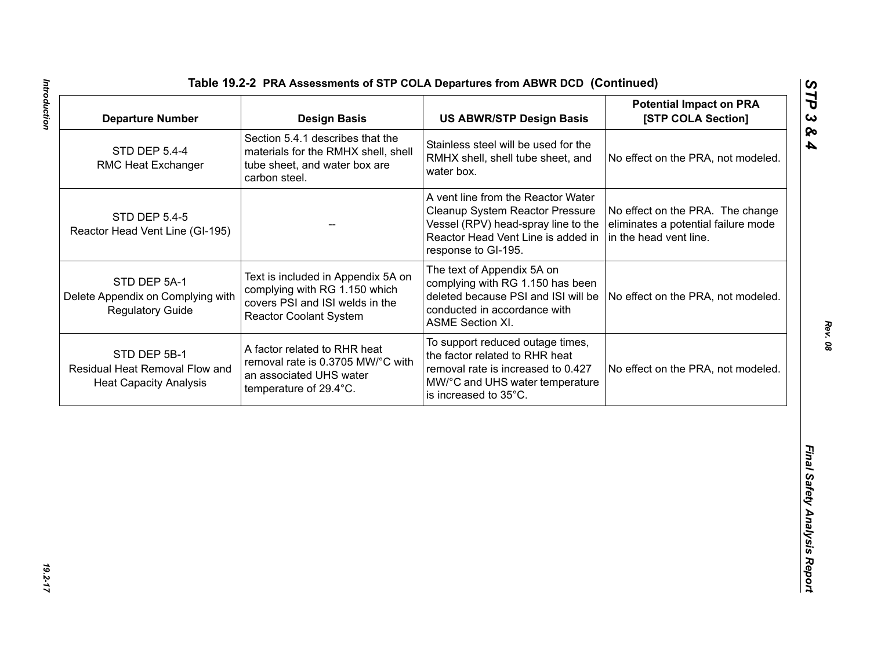| <b>Departure Number</b>                                                         | <b>Design Basis</b>                                                                                                                     | <b>US ABWR/STP Design Basis</b>                                                                                                                                           | <b>Potential Impact on PRA</b><br>[STP COLA Section]                                              |
|---------------------------------------------------------------------------------|-----------------------------------------------------------------------------------------------------------------------------------------|---------------------------------------------------------------------------------------------------------------------------------------------------------------------------|---------------------------------------------------------------------------------------------------|
| <b>STD DEP 5.4-4</b><br>RMC Heat Exchanger                                      | Section 5.4.1 describes that the<br>materials for the RMHX shell, shell<br>tube sheet, and water box are<br>carbon steel.               | Stainless steel will be used for the<br>RMHX shell, shell tube sheet, and<br>water box.                                                                                   | No effect on the PRA, not modeled.                                                                |
| <b>STD DEP 5.4-5</b><br>Reactor Head Vent Line (GI-195)                         |                                                                                                                                         | A vent line from the Reactor Water<br>Cleanup System Reactor Pressure<br>Vessel (RPV) head-spray line to the<br>Reactor Head Vent Line is added in<br>response to GI-195. | No effect on the PRA. The change<br>eliminates a potential failure mode<br>in the head vent line. |
| STD DEP 5A-1<br>Delete Appendix on Complying with<br><b>Regulatory Guide</b>    | Text is included in Appendix 5A on<br>complying with RG 1.150 which<br>covers PSI and ISI welds in the<br><b>Reactor Coolant System</b> | The text of Appendix 5A on<br>complying with RG 1.150 has been<br>deleted because PSI and ISI will be<br>conducted in accordance with<br><b>ASME Section XI.</b>          | No effect on the PRA, not modeled.                                                                |
| STD DEP 5B-1<br>Residual Heat Removal Flow and<br><b>Heat Capacity Analysis</b> | A factor related to RHR heat<br>removal rate is 0.3705 MW/°C with<br>an associated UHS water<br>temperature of 29.4°C.                  | To support reduced outage times,<br>the factor related to RHR heat<br>removal rate is increased to 0.427<br>MW/°C and UHS water temperature<br>is increased to 35°C.      | No effect on the PRA, not modeled.                                                                |
|                                                                                 |                                                                                                                                         |                                                                                                                                                                           |                                                                                                   |
|                                                                                 |                                                                                                                                         |                                                                                                                                                                           |                                                                                                   |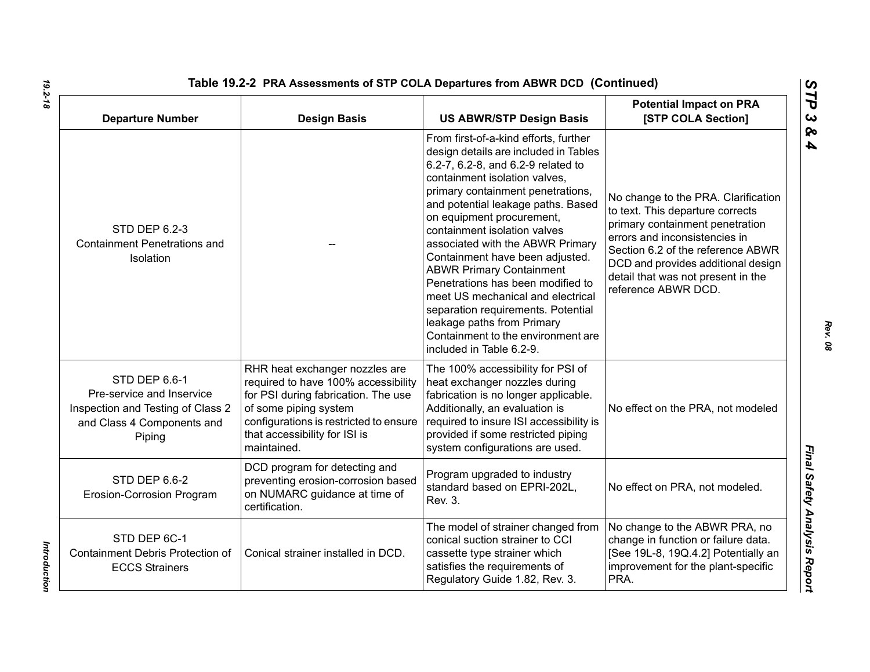| Table 19.2-2 PRA Assessments of STP COLA Departures from ABWR DCD (Continued)                                           |                                                                                                                                                                                                                                 |                                                                                                                                                                                                                                                                                                                                                                                                                                                                                                                                                                                                                         |                                                                                                                                                                                                                                                                                     |
|-------------------------------------------------------------------------------------------------------------------------|---------------------------------------------------------------------------------------------------------------------------------------------------------------------------------------------------------------------------------|-------------------------------------------------------------------------------------------------------------------------------------------------------------------------------------------------------------------------------------------------------------------------------------------------------------------------------------------------------------------------------------------------------------------------------------------------------------------------------------------------------------------------------------------------------------------------------------------------------------------------|-------------------------------------------------------------------------------------------------------------------------------------------------------------------------------------------------------------------------------------------------------------------------------------|
| <b>Departure Number</b>                                                                                                 | <b>Design Basis</b>                                                                                                                                                                                                             | <b>US ABWR/STP Design Basis</b>                                                                                                                                                                                                                                                                                                                                                                                                                                                                                                                                                                                         | <b>Potential Impact on PRA</b><br>[STP COLA Section]                                                                                                                                                                                                                                |
| <b>STD DEP 6.2-3</b><br><b>Containment Penetrations and</b><br>Isolation                                                |                                                                                                                                                                                                                                 | From first-of-a-kind efforts, further<br>design details are included in Tables<br>6.2-7, 6.2-8, and 6.2-9 related to<br>containment isolation valves,<br>primary containment penetrations,<br>and potential leakage paths. Based<br>on equipment procurement,<br>containment isolation valves<br>associated with the ABWR Primary<br>Containment have been adjusted.<br><b>ABWR Primary Containment</b><br>Penetrations has been modified to<br>meet US mechanical and electrical<br>separation requirements. Potential<br>leakage paths from Primary<br>Containment to the environment are<br>included in Table 6.2-9. | No change to the PRA. Clarification<br>to text. This departure corrects<br>primary containment penetration<br>errors and inconsistencies in<br>Section 6.2 of the reference ABWR<br>DCD and provides additional design<br>detail that was not present in the<br>reference ABWR DCD. |
| STD DEP 6.6-1<br>Pre-service and Inservice<br>Inspection and Testing of Class 2<br>and Class 4 Components and<br>Piping | RHR heat exchanger nozzles are<br>required to have 100% accessibility<br>for PSI during fabrication. The use<br>of some piping system<br>configurations is restricted to ensure<br>that accessibility for ISI is<br>maintained. | The 100% accessibility for PSI of<br>heat exchanger nozzles during<br>fabrication is no longer applicable.<br>Additionally, an evaluation is<br>required to insure ISI accessibility is<br>provided if some restricted piping<br>system configurations are used.                                                                                                                                                                                                                                                                                                                                                        | No effect on the PRA, not modeled                                                                                                                                                                                                                                                   |
| STD DEP 6.6-2<br>Erosion-Corrosion Program                                                                              | DCD program for detecting and<br>preventing erosion-corrosion based<br>on NUMARC guidance at time of<br>certification.                                                                                                          | Program upgraded to industry<br>standard based on EPRI-202L,<br>Rev. 3.                                                                                                                                                                                                                                                                                                                                                                                                                                                                                                                                                 | No effect on PRA, not modeled.                                                                                                                                                                                                                                                      |
| STD DEP 6C-1<br>Containment Debris Protection of<br><b>ECCS Strainers</b>                                               | Conical strainer installed in DCD.                                                                                                                                                                                              | The model of strainer changed from<br>conical suction strainer to CCI<br>cassette type strainer which<br>satisfies the requirements of<br>Regulatory Guide 1.82, Rev. 3.                                                                                                                                                                                                                                                                                                                                                                                                                                                | No change to the ABWR PRA, no<br>change in function or failure data.<br>[See 19L-8, 19Q.4.2] Potentially an<br>improvement for the plant-specific<br>PRA.                                                                                                                           |

*19.2-18*

*Introduction* 

Introduction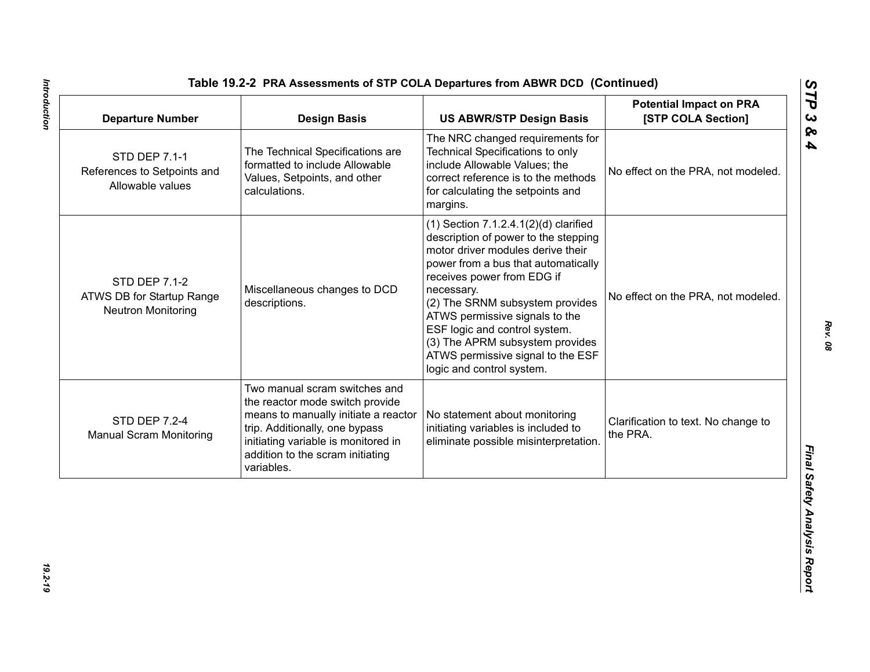| <b>Departure Number</b>                                                        | <b>Design Basis</b>                                                                                                                                                                                                                 | <b>US ABWR/STP Design Basis</b>                                                                                                                                                                                                                                                                                                                                                                                       | <b>Potential Impact on PRA</b><br>[STP COLA Section] |
|--------------------------------------------------------------------------------|-------------------------------------------------------------------------------------------------------------------------------------------------------------------------------------------------------------------------------------|-----------------------------------------------------------------------------------------------------------------------------------------------------------------------------------------------------------------------------------------------------------------------------------------------------------------------------------------------------------------------------------------------------------------------|------------------------------------------------------|
| STD DEP 7.1-1<br>References to Setpoints and<br>Allowable values               | The Technical Specifications are<br>formatted to include Allowable<br>Values, Setpoints, and other<br>calculations.                                                                                                                 | The NRC changed requirements for<br><b>Technical Specifications to only</b><br>include Allowable Values; the<br>correct reference is to the methods<br>for calculating the setpoints and<br>margins.                                                                                                                                                                                                                  | No effect on the PRA, not modeled.                   |
| <b>STD DEP 7.1-2</b><br>ATWS DB for Startup Range<br><b>Neutron Monitoring</b> | Miscellaneous changes to DCD<br>descriptions.                                                                                                                                                                                       | $(1)$ Section 7.1.2.4.1 $(2)(d)$ clarified<br>description of power to the stepping<br>motor driver modules derive their<br>power from a bus that automatically<br>receives power from EDG if<br>necessary.<br>(2) The SRNM subsystem provides<br>ATWS permissive signals to the<br>ESF logic and control system.<br>(3) The APRM subsystem provides<br>ATWS permissive signal to the ESF<br>logic and control system. | No effect on the PRA, not modeled.                   |
| <b>STD DEP 7.2-4</b><br><b>Manual Scram Monitoring</b>                         | Two manual scram switches and<br>the reactor mode switch provide<br>means to manually initiate a reactor<br>trip. Additionally, one bypass<br>initiating variable is monitored in<br>addition to the scram initiating<br>variables. | No statement about monitoring<br>initiating variables is included to<br>eliminate possible misinterpretation.                                                                                                                                                                                                                                                                                                         | Clarification to text. No change to<br>the PRA.      |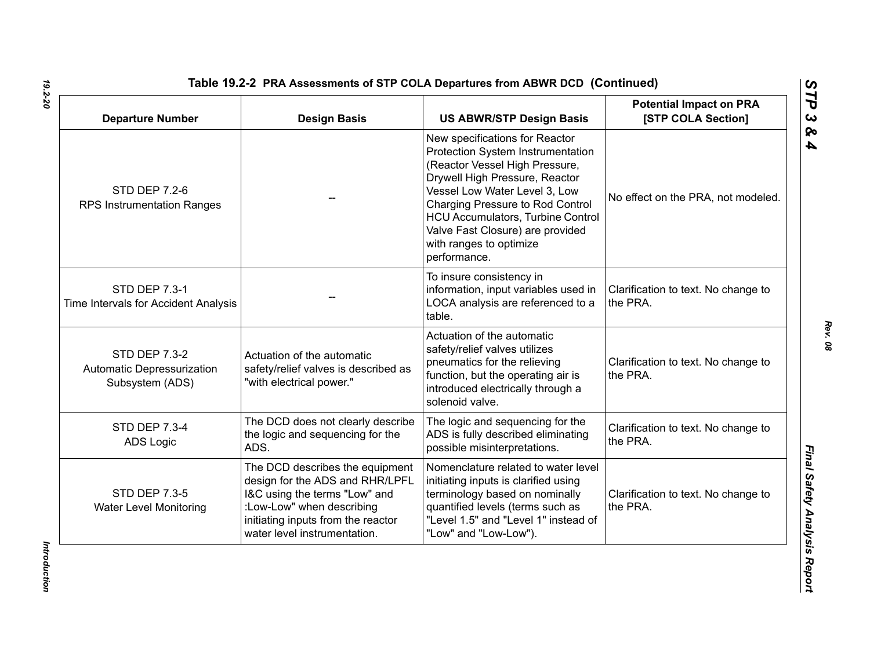| <b>Departure Number</b>                                               | <b>Design Basis</b>                                                                                                                                                                                    | <b>US ABWR/STP Design Basis</b>                                                                                                                                                                                                                                                                                                         | <b>Potential Impact on PRA</b><br>[STP COLA Section] |
|-----------------------------------------------------------------------|--------------------------------------------------------------------------------------------------------------------------------------------------------------------------------------------------------|-----------------------------------------------------------------------------------------------------------------------------------------------------------------------------------------------------------------------------------------------------------------------------------------------------------------------------------------|------------------------------------------------------|
| <b>STD DEP 7.2-6</b><br><b>RPS Instrumentation Ranges</b>             |                                                                                                                                                                                                        | New specifications for Reactor<br>Protection System Instrumentation<br>(Reactor Vessel High Pressure,<br>Drywell High Pressure, Reactor<br>Vessel Low Water Level 3, Low<br>Charging Pressure to Rod Control<br><b>HCU Accumulators, Turbine Control</b><br>Valve Fast Closure) are provided<br>with ranges to optimize<br>performance. | No effect on the PRA, not modeled.                   |
| <b>STD DEP 7.3-1</b><br>Time Intervals for Accident Analysis          |                                                                                                                                                                                                        | To insure consistency in<br>information, input variables used in<br>LOCA analysis are referenced to a<br>table.                                                                                                                                                                                                                         | Clarification to text. No change to<br>the PRA.      |
| <b>STD DEP 7.3-2</b><br>Automatic Depressurization<br>Subsystem (ADS) | Actuation of the automatic<br>safety/relief valves is described as<br>"with electrical power."                                                                                                         | Actuation of the automatic<br>safety/relief valves utilizes<br>pneumatics for the relieving<br>function, but the operating air is<br>introduced electrically through a<br>solenoid valve.                                                                                                                                               | Clarification to text. No change to<br>the PRA.      |
| <b>STD DEP 7.3-4</b><br><b>ADS Logic</b>                              | The DCD does not clearly describe<br>the logic and sequencing for the<br>ADS.                                                                                                                          | The logic and sequencing for the<br>ADS is fully described eliminating<br>possible misinterpretations.                                                                                                                                                                                                                                  | Clarification to text. No change to<br>the PRA.      |
| <b>STD DEP 7.3-5</b><br><b>Water Level Monitoring</b>                 | The DCD describes the equipment<br>design for the ADS and RHR/LPFL<br>I&C using the terms "Low" and<br>:Low-Low" when describing<br>initiating inputs from the reactor<br>water level instrumentation. | Nomenclature related to water level<br>initiating inputs is clarified using<br>terminology based on nominally<br>quantified levels (terms such as<br>"Level 1.5" and "Level 1" instead of<br>"Low" and "Low-Low").                                                                                                                      | Clarification to text. No change to<br>the PRA.      |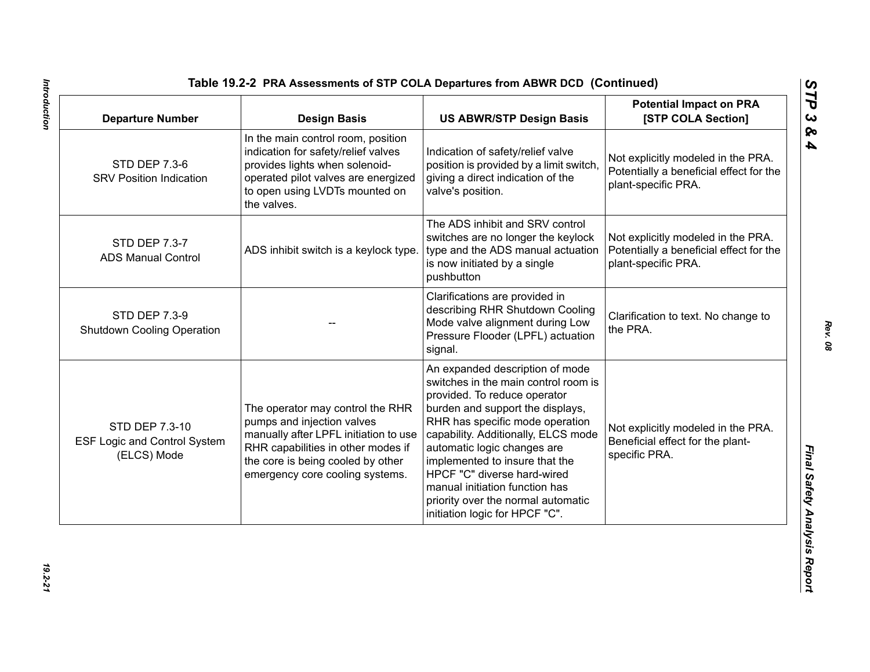| <b>Departure Number</b>                                              | <b>Design Basis</b>                                                                                                                                                                                                   | <b>US ABWR/STP Design Basis</b>                                                                                                                                                                                                                                                                                                                                                                                                 | <b>Potential Impact on PRA</b><br>[STP COLA Section]                                                 |
|----------------------------------------------------------------------|-----------------------------------------------------------------------------------------------------------------------------------------------------------------------------------------------------------------------|---------------------------------------------------------------------------------------------------------------------------------------------------------------------------------------------------------------------------------------------------------------------------------------------------------------------------------------------------------------------------------------------------------------------------------|------------------------------------------------------------------------------------------------------|
| <b>STD DEP 7.3-6</b><br><b>SRV Position Indication</b>               | In the main control room, position<br>indication for safety/relief valves<br>provides lights when solenoid-<br>operated pilot valves are energized<br>to open using LVDTs mounted on<br>the valves.                   | Indication of safety/relief valve<br>position is provided by a limit switch,<br>giving a direct indication of the<br>valve's position.                                                                                                                                                                                                                                                                                          | Not explicitly modeled in the PRA.<br>Potentially a beneficial effect for the<br>plant-specific PRA. |
| STD DEP 7.3-7<br><b>ADS Manual Control</b>                           | ADS inhibit switch is a keylock type.                                                                                                                                                                                 | The ADS inhibit and SRV control<br>switches are no longer the keylock<br>type and the ADS manual actuation<br>is now initiated by a single<br>pushbutton                                                                                                                                                                                                                                                                        | Not explicitly modeled in the PRA.<br>Potentially a beneficial effect for the<br>plant-specific PRA. |
| <b>STD DEP 7.3-9</b><br><b>Shutdown Cooling Operation</b>            |                                                                                                                                                                                                                       | Clarifications are provided in<br>describing RHR Shutdown Cooling<br>Mode valve alignment during Low<br>Pressure Flooder (LPFL) actuation<br>signal.                                                                                                                                                                                                                                                                            | Clarification to text. No change to<br>the PRA.                                                      |
| STD DEP 7.3-10<br><b>ESF Logic and Control System</b><br>(ELCS) Mode | The operator may control the RHR<br>pumps and injection valves<br>manually after LPFL initiation to use<br>RHR capabilities in other modes if<br>the core is being cooled by other<br>emergency core cooling systems. | An expanded description of mode<br>switches in the main control room is<br>provided. To reduce operator<br>burden and support the displays,<br>RHR has specific mode operation<br>capability. Additionally, ELCS mode<br>automatic logic changes are<br>implemented to insure that the<br>HPCF "C" diverse hard-wired<br>manual initiation function has<br>priority over the normal automatic<br>initiation logic for HPCF "C". | Not explicitly modeled in the PRA.<br>Beneficial effect for the plant-<br>specific PRA.              |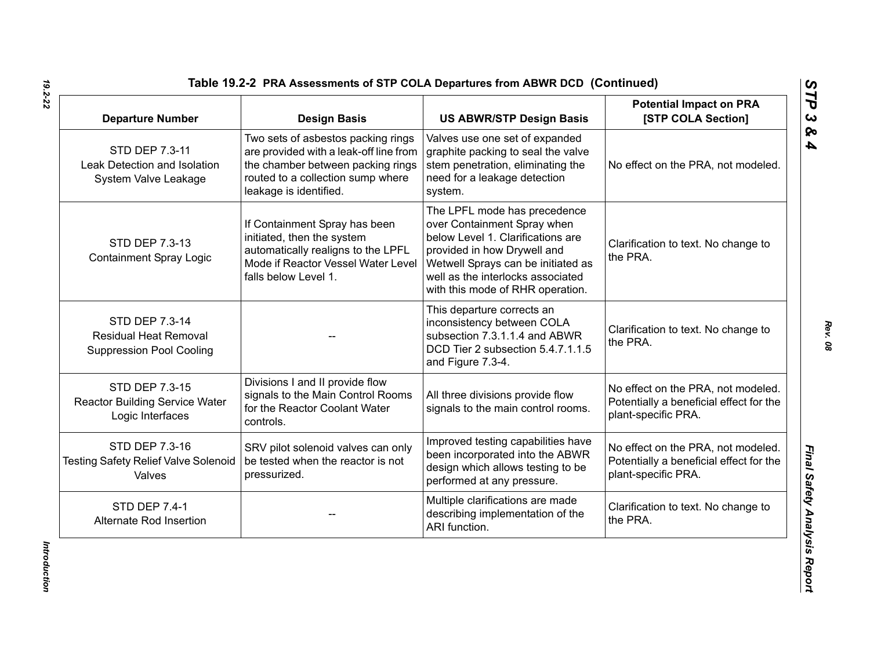| <b>Departure Number</b>                                                           | <b>Design Basis</b>                                                                                                                                                              | <b>US ABWR/STP Design Basis</b>                                                                                                                                                                                                                | <b>Potential Impact on PRA</b><br>[STP COLA Section]                                                 |
|-----------------------------------------------------------------------------------|----------------------------------------------------------------------------------------------------------------------------------------------------------------------------------|------------------------------------------------------------------------------------------------------------------------------------------------------------------------------------------------------------------------------------------------|------------------------------------------------------------------------------------------------------|
| STD DEP 7.3-11<br>Leak Detection and Isolation<br>System Valve Leakage            | Two sets of asbestos packing rings<br>are provided with a leak-off line from<br>the chamber between packing rings<br>routed to a collection sump where<br>leakage is identified. | Valves use one set of expanded<br>graphite packing to seal the valve<br>stem penetration, eliminating the<br>need for a leakage detection<br>system.                                                                                           | No effect on the PRA, not modeled.                                                                   |
| STD DEP 7.3-13<br><b>Containment Spray Logic</b>                                  | If Containment Spray has been<br>initiated, then the system<br>automatically realigns to the LPFL<br>Mode if Reactor Vessel Water Level<br>falls below Level 1.                  | The LPFL mode has precedence<br>over Containment Spray when<br>below Level 1. Clarifications are<br>provided in how Drywell and<br>Wetwell Sprays can be initiated as<br>well as the interlocks associated<br>with this mode of RHR operation. | Clarification to text. No change to<br>the PRA.                                                      |
| STD DEP 7.3-14<br><b>Residual Heat Removal</b><br><b>Suppression Pool Cooling</b> |                                                                                                                                                                                  | This departure corrects an<br>inconsistency between COLA<br>subsection 7.3.1.1.4 and ABWR<br>DCD Tier 2 subsection 5.4.7.1.1.5<br>and Figure 7.3-4.                                                                                            | Clarification to text. No change to<br>the PRA.                                                      |
| STD DEP 7.3-15<br><b>Reactor Building Service Water</b><br>Logic Interfaces       | Divisions I and II provide flow<br>signals to the Main Control Rooms<br>for the Reactor Coolant Water<br>controls.                                                               | All three divisions provide flow<br>signals to the main control rooms.                                                                                                                                                                         | No effect on the PRA, not modeled.<br>Potentially a beneficial effect for the<br>plant-specific PRA. |
| STD DEP 7.3-16<br><b>Testing Safety Relief Valve Solenoid</b><br>Valves           | SRV pilot solenoid valves can only<br>be tested when the reactor is not<br>pressurized.                                                                                          | Improved testing capabilities have<br>been incorporated into the ABWR<br>design which allows testing to be<br>performed at any pressure.                                                                                                       | No effect on the PRA, not modeled.<br>Potentially a beneficial effect for the<br>plant-specific PRA. |
| <b>STD DEP 7.4-1</b><br>Alternate Rod Insertion                                   |                                                                                                                                                                                  | Multiple clarifications are made<br>describing implementation of the<br>ARI function.                                                                                                                                                          | Clarification to text. No change to<br>the PRA.                                                      |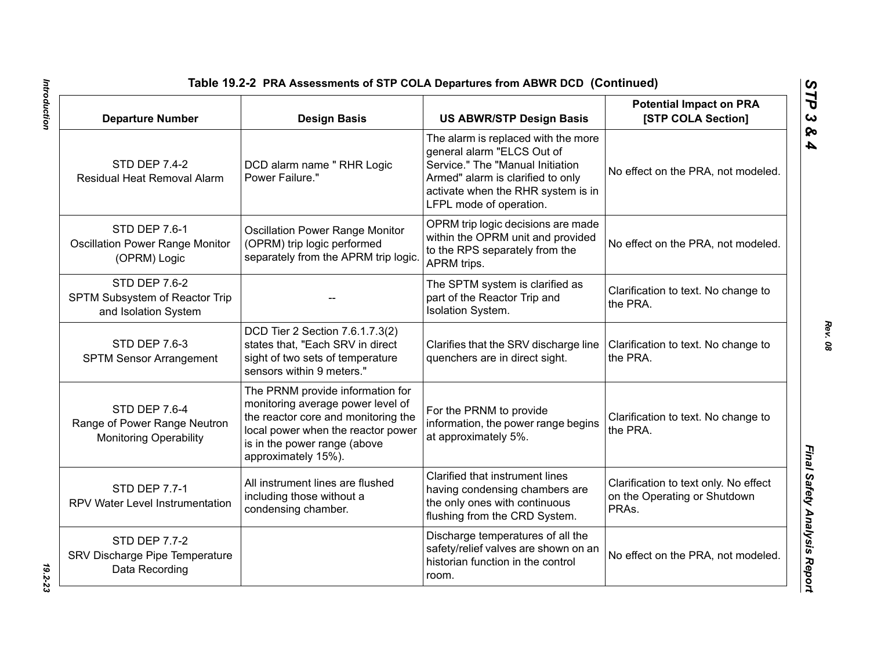| Table 19.2-2 PRA Assessments of STP COLA Departures from ABWR DCD (Continued)  |                                                                                                                                                                                                           |                                                                                                                                                                                                             |                                                                                |
|--------------------------------------------------------------------------------|-----------------------------------------------------------------------------------------------------------------------------------------------------------------------------------------------------------|-------------------------------------------------------------------------------------------------------------------------------------------------------------------------------------------------------------|--------------------------------------------------------------------------------|
| <b>Departure Number</b>                                                        | <b>Design Basis</b>                                                                                                                                                                                       | <b>US ABWR/STP Design Basis</b>                                                                                                                                                                             | <b>Potential Impact on PRA</b><br>[STP COLA Section]                           |
| <b>STD DEP 7.4-2</b><br>Residual Heat Removal Alarm                            | DCD alarm name " RHR Logic<br>Power Failure."                                                                                                                                                             | The alarm is replaced with the more<br>general alarm "ELCS Out of<br>Service." The "Manual Initiation<br>Armed" alarm is clarified to only<br>activate when the RHR system is in<br>LFPL mode of operation. | No effect on the PRA, not modeled.                                             |
| <b>STD DEP 7.6-1</b><br><b>Oscillation Power Range Monitor</b><br>(OPRM) Logic | <b>Oscillation Power Range Monitor</b><br>(OPRM) trip logic performed<br>separately from the APRM trip logic.                                                                                             | OPRM trip logic decisions are made<br>within the OPRM unit and provided<br>to the RPS separately from the<br>APRM trips.                                                                                    | No effect on the PRA, not modeled.                                             |
| <b>STD DEP 7.6-2</b><br>SPTM Subsystem of Reactor Trip<br>and Isolation System |                                                                                                                                                                                                           | The SPTM system is clarified as<br>part of the Reactor Trip and<br>Isolation System.                                                                                                                        | Clarification to text. No change to<br>the PRA.                                |
| <b>STD DEP 7.6-3</b><br><b>SPTM Sensor Arrangement</b>                         | DCD Tier 2 Section 7.6.1.7.3(2)<br>states that, "Each SRV in direct<br>sight of two sets of temperature<br>sensors within 9 meters."                                                                      | Clarifies that the SRV discharge line<br>quenchers are in direct sight.                                                                                                                                     | Clarification to text. No change to<br>the PRA.                                |
| STD DEP 7.6-4<br>Range of Power Range Neutron<br><b>Monitoring Operability</b> | The PRNM provide information for<br>monitoring average power level of<br>the reactor core and monitoring the<br>local power when the reactor power<br>is in the power range (above<br>approximately 15%). | For the PRNM to provide<br>information, the power range begins<br>at approximately 5%.                                                                                                                      | Clarification to text. No change to<br>the PRA.                                |
| <b>STD DEP 7.7-1</b><br>RPV Water Level Instrumentation                        | All instrument lines are flushed<br>including those without a<br>condensing chamber.                                                                                                                      | Clarified that instrument lines<br>having condensing chambers are<br>the only ones with continuous<br>flushing from the CRD System.                                                                         | Clarification to text only. No effect<br>on the Operating or Shutdown<br>PRAs. |
| <b>STD DEP 7.7-2</b><br>SRV Discharge Pipe Temperature<br>Data Recording       |                                                                                                                                                                                                           | Discharge temperatures of all the<br>safety/relief valves are shown on an<br>historian function in the control<br>room.                                                                                     | No effect on the PRA, not modeled.                                             |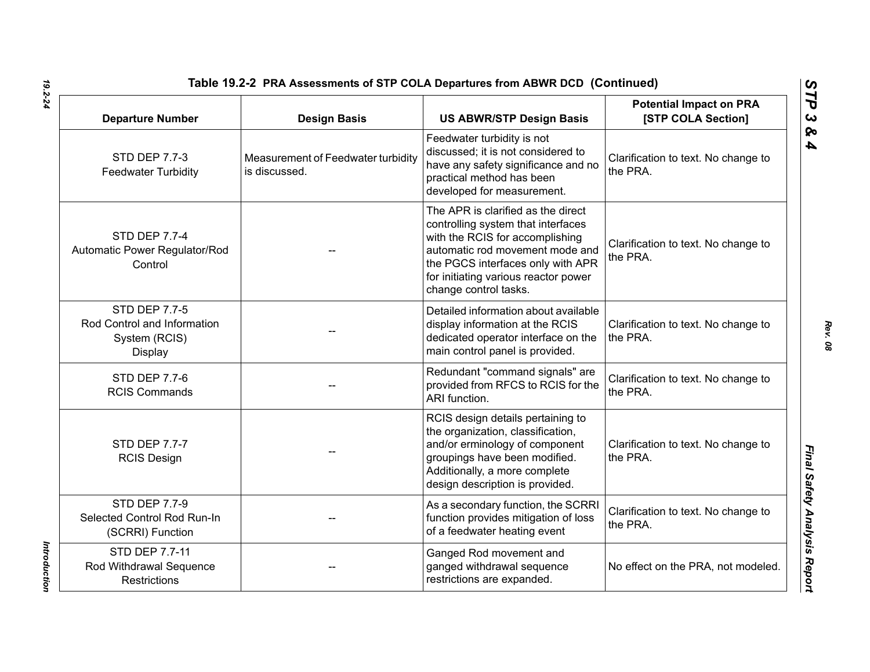| Table 19.2-2 PRA Assessments of STP COLA Departures from ABWR DCD (Continued)   |                                                     |                                                                                                                                                                                                                                                      |                                                      |
|---------------------------------------------------------------------------------|-----------------------------------------------------|------------------------------------------------------------------------------------------------------------------------------------------------------------------------------------------------------------------------------------------------------|------------------------------------------------------|
| <b>Departure Number</b>                                                         | <b>Design Basis</b>                                 | <b>US ABWR/STP Design Basis</b>                                                                                                                                                                                                                      | <b>Potential Impact on PRA</b><br>[STP COLA Section] |
| <b>STD DEP 7.7-3</b><br><b>Feedwater Turbidity</b>                              | Measurement of Feedwater turbidity<br>is discussed. | Feedwater turbidity is not<br>discussed; it is not considered to<br>have any safety significance and no<br>practical method has been<br>developed for measurement.                                                                                   | Clarification to text. No change to<br>the PRA.      |
| <b>STD DEP 7.7-4</b><br>Automatic Power Regulator/Rod<br>Control                |                                                     | The APR is clarified as the direct<br>controlling system that interfaces<br>with the RCIS for accomplishing<br>automatic rod movement mode and<br>the PGCS interfaces only with APR<br>for initiating various reactor power<br>change control tasks. | Clarification to text. No change to<br>the PRA.      |
| <b>STD DEP 7.7-5</b><br>Rod Control and Information<br>System (RCIS)<br>Display |                                                     | Detailed information about available<br>display information at the RCIS<br>dedicated operator interface on the<br>main control panel is provided.                                                                                                    | Clarification to text. No change to<br>the PRA.      |
| <b>STD DEP 7.7-6</b><br><b>RCIS Commands</b>                                    |                                                     | Redundant "command signals" are<br>provided from RFCS to RCIS for the<br>ARI function.                                                                                                                                                               | Clarification to text. No change to<br>the PRA.      |
| <b>STD DEP 7.7-7</b><br><b>RCIS Design</b>                                      |                                                     | RCIS design details pertaining to<br>the organization, classification,<br>and/or erminology of component<br>groupings have been modified.<br>Additionally, a more complete<br>design description is provided.                                        | Clarification to text. No change to<br>the PRA.      |
| <b>STD DEP 7.7-9</b><br>Selected Control Rod Run-In<br>(SCRRI) Function         |                                                     | As a secondary function, the SCRRI<br>function provides mitigation of loss<br>of a feedwater heating event                                                                                                                                           | Clarification to text. No change to<br>the PRA.      |
| STD DEP 7.7-11<br>Rod Withdrawal Sequence<br><b>Restrictions</b>                |                                                     | Ganged Rod movement and<br>ganged withdrawal sequence<br>restrictions are expanded.                                                                                                                                                                  | No effect on the PRA, not modeled.                   |

Introduction *Introduction*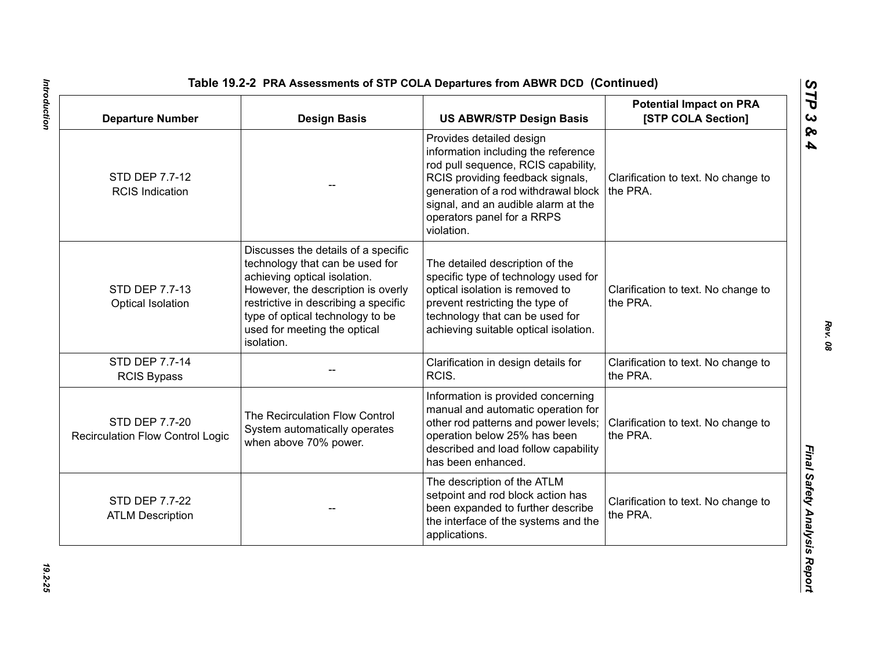| <b>Departure Number</b>                                   | <b>Design Basis</b>                                                                                                                                                                                                                                                    | <b>US ABWR/STP Design Basis</b>                                                                                                                                                                                                                                       | <b>Potential Impact on PRA</b><br>[STP COLA Section] |
|-----------------------------------------------------------|------------------------------------------------------------------------------------------------------------------------------------------------------------------------------------------------------------------------------------------------------------------------|-----------------------------------------------------------------------------------------------------------------------------------------------------------------------------------------------------------------------------------------------------------------------|------------------------------------------------------|
| STD DEP 7.7-12<br><b>RCIS Indication</b>                  |                                                                                                                                                                                                                                                                        | Provides detailed design<br>information including the reference<br>rod pull sequence, RCIS capability,<br>RCIS providing feedback signals,<br>generation of a rod withdrawal block<br>signal, and an audible alarm at the<br>operators panel for a RRPS<br>violation. | Clarification to text. No change to<br>the PRA.      |
| STD DEP 7.7-13<br>Optical Isolation                       | Discusses the details of a specific<br>technology that can be used for<br>achieving optical isolation.<br>However, the description is overly<br>restrictive in describing a specific<br>type of optical technology to be<br>used for meeting the optical<br>isolation. | The detailed description of the<br>specific type of technology used for<br>optical isolation is removed to<br>prevent restricting the type of<br>technology that can be used for<br>achieving suitable optical isolation.                                             | Clarification to text. No change to<br>the PRA.      |
| STD DEP 7.7-14<br><b>RCIS Bypass</b>                      |                                                                                                                                                                                                                                                                        | Clarification in design details for<br>RCIS.                                                                                                                                                                                                                          | Clarification to text. No change to<br>the PRA.      |
| STD DEP 7.7-20<br><b>Recirculation Flow Control Logic</b> | The Recirculation Flow Control<br>System automatically operates<br>when above 70% power.                                                                                                                                                                               | Information is provided concerning<br>manual and automatic operation for<br>other rod patterns and power levels;<br>operation below 25% has been<br>described and load follow capability<br>has been enhanced.                                                        | Clarification to text. No change to<br>the PRA.      |
| STD DEP 7.7-22<br><b>ATLM Description</b>                 |                                                                                                                                                                                                                                                                        | The description of the ATLM<br>setpoint and rod block action has<br>been expanded to further describe<br>the interface of the systems and the<br>applications.                                                                                                        | Clarification to text. No change to<br>the PRA.      |

Introduction *Introduction 19.2-25*

*Rev. 08*

*STP 3 & 4*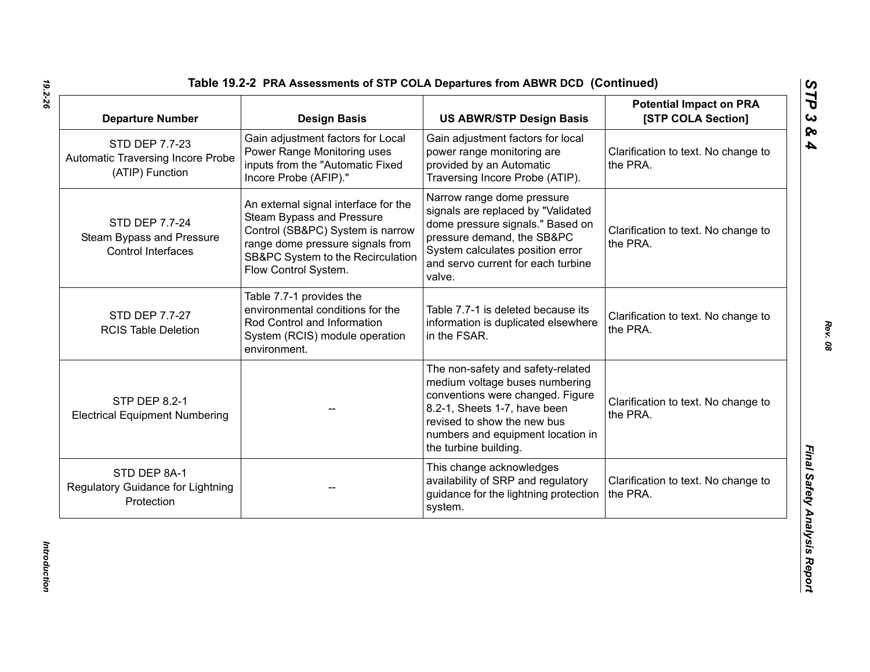| <b>Departure Number</b>                                                | <b>Design Basis</b>                                                                                                                                                                                    | <b>US ABWR/STP Design Basis</b>                                                                                                                                                                                                      | <b>Potential Impact on PRA</b><br>[STP COLA Section] |
|------------------------------------------------------------------------|--------------------------------------------------------------------------------------------------------------------------------------------------------------------------------------------------------|--------------------------------------------------------------------------------------------------------------------------------------------------------------------------------------------------------------------------------------|------------------------------------------------------|
| STD DEP 7.7-23<br>Automatic Traversing Incore Probe<br>(ATIP) Function | Gain adjustment factors for Local<br>Power Range Monitoring uses<br>inputs from the "Automatic Fixed<br>Incore Probe (AFIP)."                                                                          | Gain adjustment factors for local<br>power range monitoring are<br>provided by an Automatic<br>Traversing Incore Probe (ATIP).                                                                                                       | Clarification to text. No change to<br>the PRA.      |
| STD DEP 7.7-24<br>Steam Bypass and Pressure<br>Control Interfaces      | An external signal interface for the<br>Steam Bypass and Pressure<br>Control (SB&PC) System is narrow<br>range dome pressure signals from<br>SB&PC System to the Recirculation<br>Flow Control System. | Narrow range dome pressure<br>signals are replaced by "Validated<br>dome pressure signals." Based on<br>pressure demand, the SB&PC<br>System calculates position error<br>and servo current for each turbine<br>valve.               | Clarification to text. No change to<br>the PRA.      |
| STD DEP 7.7-27<br><b>RCIS Table Deletion</b>                           | Table 7.7-1 provides the<br>environmental conditions for the<br>Rod Control and Information<br>System (RCIS) module operation<br>environment.                                                          | Table 7.7-1 is deleted because its<br>information is duplicated elsewhere<br>in the FSAR.                                                                                                                                            | Clarification to text. No change to<br>the PRA.      |
| <b>STP DEP 8.2-1</b><br><b>Electrical Equipment Numbering</b>          |                                                                                                                                                                                                        | The non-safety and safety-related<br>medium voltage buses numbering<br>conventions were changed. Figure<br>8.2-1, Sheets 1-7, have been<br>revised to show the new bus<br>numbers and equipment location in<br>the turbine building. | Clarification to text. No change to<br>the PRA.      |
| STD DEP 8A-1<br>Regulatory Guidance for Lightning<br>Protection        |                                                                                                                                                                                                        | This change acknowledges<br>availability of SRP and regulatory<br>guidance for the lightning protection<br>system.                                                                                                                   | Clarification to text. No change to<br>the PRA.      |

*Introduction* 

Introduction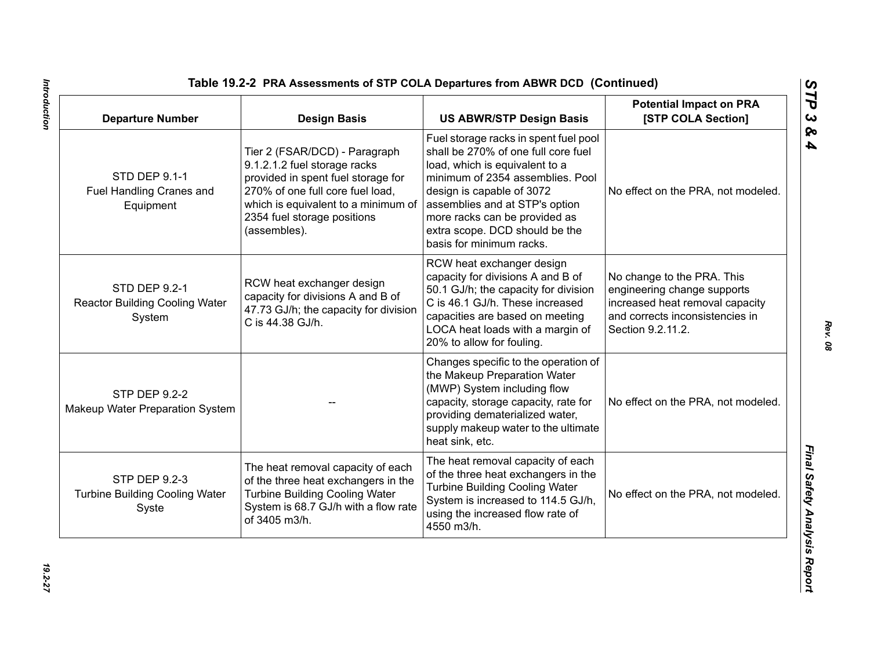| <b>Departure Number</b>                                          | <b>Design Basis</b>                                                                                                                                                                                                           | <b>US ABWR/STP Design Basis</b>                                                                                                                                                                                                                                                                                  | <b>Potential Impact on PRA</b><br>[STP COLA Section]                                                                                                 |
|------------------------------------------------------------------|-------------------------------------------------------------------------------------------------------------------------------------------------------------------------------------------------------------------------------|------------------------------------------------------------------------------------------------------------------------------------------------------------------------------------------------------------------------------------------------------------------------------------------------------------------|------------------------------------------------------------------------------------------------------------------------------------------------------|
| <b>STD DEP 9.1-1</b><br>Fuel Handling Cranes and<br>Equipment    | Tier 2 (FSAR/DCD) - Paragraph<br>9.1.2.1.2 fuel storage racks<br>provided in spent fuel storage for<br>270% of one full core fuel load,<br>which is equivalent to a minimum of<br>2354 fuel storage positions<br>(assembles). | Fuel storage racks in spent fuel pool<br>shall be 270% of one full core fuel<br>load, which is equivalent to a<br>minimum of 2354 assemblies. Pool<br>design is capable of 3072<br>assemblies and at STP's option<br>more racks can be provided as<br>extra scope. DCD should be the<br>basis for minimum racks. | No effect on the PRA, not modeled.                                                                                                                   |
| STD DEP 9.2-1<br><b>Reactor Building Cooling Water</b><br>System | RCW heat exchanger design<br>capacity for divisions A and B of<br>47.73 GJ/h; the capacity for division<br>C is 44.38 GJ/h.                                                                                                   | RCW heat exchanger design<br>capacity for divisions A and B of<br>50.1 GJ/h; the capacity for division<br>C is 46.1 GJ/h. These increased<br>capacities are based on meeting<br>LOCA heat loads with a margin of<br>20% to allow for fouling.                                                                    | No change to the PRA. This<br>engineering change supports<br>increased heat removal capacity<br>and corrects inconsistencies in<br>Section 9.2.11.2. |
| <b>STP DEP 9.2-2</b><br>Makeup Water Preparation System          |                                                                                                                                                                                                                               | Changes specific to the operation of<br>the Makeup Preparation Water<br>(MWP) System including flow<br>capacity, storage capacity, rate for<br>providing dematerialized water,<br>supply makeup water to the ultimate<br>heat sink, etc.                                                                         | No effect on the PRA, not modeled.                                                                                                                   |
| STP DEP 9.2-3<br><b>Turbine Building Cooling Water</b><br>Syste  | The heat removal capacity of each<br>of the three heat exchangers in the<br><b>Turbine Building Cooling Water</b><br>System is 68.7 GJ/h with a flow rate<br>of 3405 m3/h.                                                    | The heat removal capacity of each<br>of the three heat exchangers in the<br><b>Turbine Building Cooling Water</b><br>System is increased to 114.5 GJ/h,<br>using the increased flow rate of<br>4550 m3/h.                                                                                                        | No effect on the PRA, not modeled.                                                                                                                   |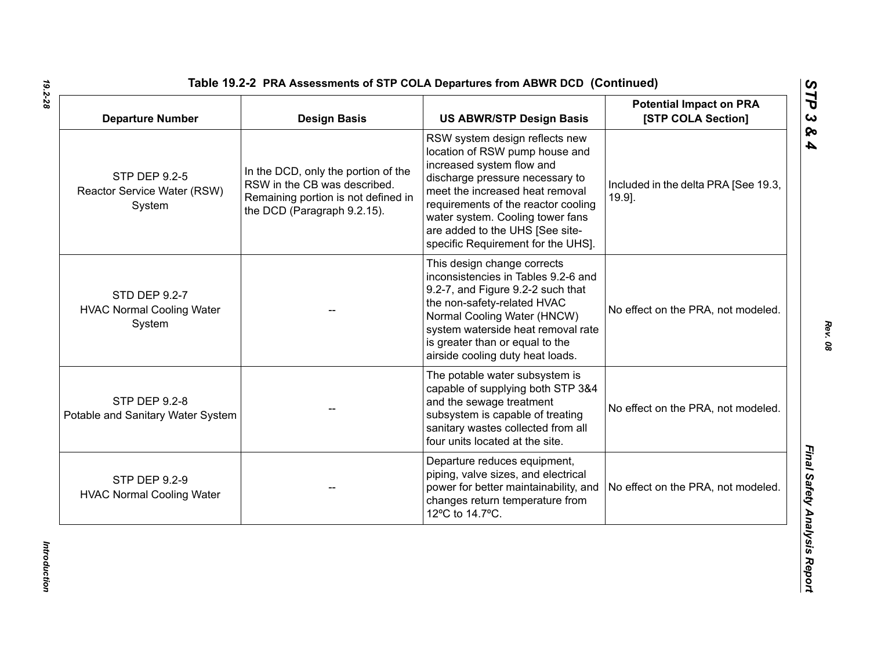| <b>Departure Number</b>                                     | <b>Design Basis</b>                                                                                                                       | <b>US ABWR/STP Design Basis</b>                                                                                                                                                                                                                                                                                         | <b>Potential Impact on PRA</b><br>[STP COLA Section] |
|-------------------------------------------------------------|-------------------------------------------------------------------------------------------------------------------------------------------|-------------------------------------------------------------------------------------------------------------------------------------------------------------------------------------------------------------------------------------------------------------------------------------------------------------------------|------------------------------------------------------|
| STP DEP 9.2-5<br>Reactor Service Water (RSW)<br>System      | In the DCD, only the portion of the<br>RSW in the CB was described.<br>Remaining portion is not defined in<br>the DCD (Paragraph 9.2.15). | RSW system design reflects new<br>location of RSW pump house and<br>increased system flow and<br>discharge pressure necessary to<br>meet the increased heat removal<br>requirements of the reactor cooling<br>water system. Cooling tower fans<br>are added to the UHS [See site-<br>specific Requirement for the UHS]. | Included in the delta PRA [See 19.3,<br>19.9].       |
| STD DEP 9.2-7<br><b>HVAC Normal Cooling Water</b><br>System |                                                                                                                                           | This design change corrects<br>inconsistencies in Tables 9.2-6 and<br>9.2-7, and Figure 9.2-2 such that<br>the non-safety-related HVAC<br>Normal Cooling Water (HNCW)<br>system waterside heat removal rate<br>is greater than or equal to the<br>airside cooling duty heat loads.                                      | No effect on the PRA, not modeled.                   |
| <b>STP DEP 9.2-8</b><br>Potable and Sanitary Water System   |                                                                                                                                           | The potable water subsystem is<br>capable of supplying both STP 3&4<br>and the sewage treatment<br>subsystem is capable of treating<br>sanitary wastes collected from all<br>four units located at the site.                                                                                                            | No effect on the PRA, not modeled.                   |
| <b>STP DEP 9.2-9</b><br><b>HVAC Normal Cooling Water</b>    |                                                                                                                                           | Departure reduces equipment,<br>piping, valve sizes, and electrical<br>power for better maintainability, and<br>changes return temperature from<br>12°C to 14.7°C.                                                                                                                                                      | No effect on the PRA, not modeled.                   |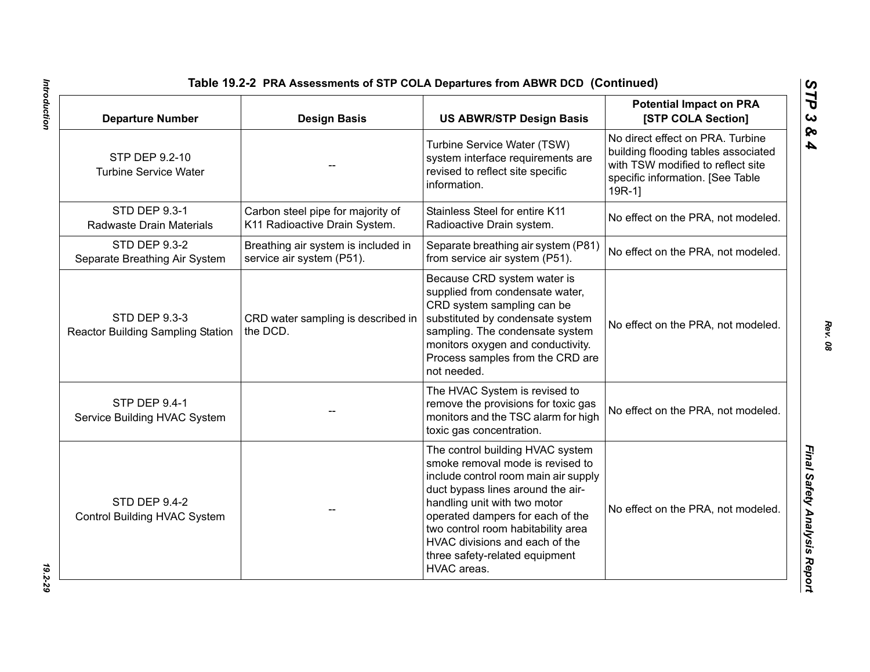| <b>Departure Number</b>                                          | <b>Design Basis</b>                                                | <b>US ABWR/STP Design Basis</b>                                                                                                                                                                                                                                                                                                                | <b>Potential Impact on PRA</b><br>[STP COLA Section]                                                                                                        |
|------------------------------------------------------------------|--------------------------------------------------------------------|------------------------------------------------------------------------------------------------------------------------------------------------------------------------------------------------------------------------------------------------------------------------------------------------------------------------------------------------|-------------------------------------------------------------------------------------------------------------------------------------------------------------|
| STP DEP 9.2-10<br><b>Turbine Service Water</b>                   |                                                                    | Turbine Service Water (TSW)<br>system interface requirements are<br>revised to reflect site specific<br>information.                                                                                                                                                                                                                           | No direct effect on PRA. Turbine<br>building flooding tables associated<br>with TSW modified to reflect site<br>specific information. [See Table<br>$19R-1$ |
| STD DEP 9.3-1<br>Radwaste Drain Materials                        | Carbon steel pipe for majority of<br>K11 Radioactive Drain System. | Stainless Steel for entire K11<br>Radioactive Drain system.                                                                                                                                                                                                                                                                                    | No effect on the PRA, not modeled.                                                                                                                          |
| <b>STD DEP 9.3-2</b><br>Separate Breathing Air System            | Breathing air system is included in<br>service air system (P51).   | Separate breathing air system (P81)<br>from service air system (P51).                                                                                                                                                                                                                                                                          | No effect on the PRA, not modeled.                                                                                                                          |
| <b>STD DEP 9.3-3</b><br><b>Reactor Building Sampling Station</b> | CRD water sampling is described in<br>the DCD.                     | Because CRD system water is<br>supplied from condensate water,<br>CRD system sampling can be<br>substituted by condensate system<br>sampling. The condensate system<br>monitors oxygen and conductivity.<br>Process samples from the CRD are<br>not needed.                                                                                    | No effect on the PRA, not modeled.                                                                                                                          |
| <b>STP DEP 9.4-1</b><br>Service Building HVAC System             |                                                                    | The HVAC System is revised to<br>remove the provisions for toxic gas<br>monitors and the TSC alarm for high<br>toxic gas concentration.                                                                                                                                                                                                        | No effect on the PRA, not modeled.                                                                                                                          |
| <b>STD DEP 9.4-2</b><br>Control Building HVAC System             |                                                                    | The control building HVAC system<br>smoke removal mode is revised to<br>include control room main air supply<br>duct bypass lines around the air-<br>handling unit with two motor<br>operated dampers for each of the<br>two control room habitability area<br>HVAC divisions and each of the<br>three safety-related equipment<br>HVAC areas. | No effect on the PRA, not modeled.                                                                                                                          |

Introduction *Introduction 19.2-29*

*Rev. 08*

*STP 3 & 4*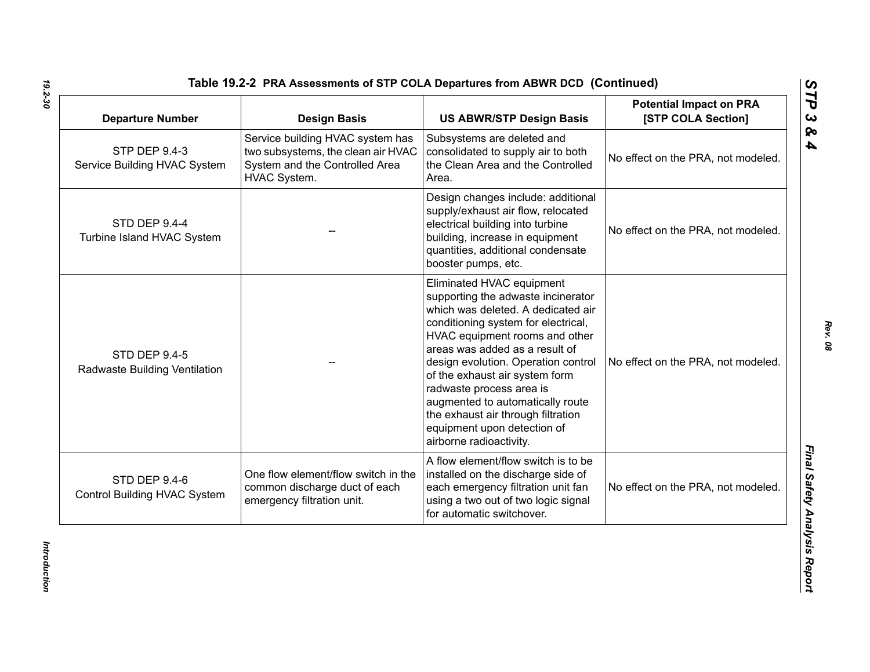| <b>Departure Number</b>                               | <b>Design Basis</b>                                                                                                      | <b>US ABWR/STP Design Basis</b>                                                                                                                                                                                                                                                                                                                                                                                                                           | <b>Potential Impact on PRA</b><br>[STP COLA Section] |
|-------------------------------------------------------|--------------------------------------------------------------------------------------------------------------------------|-----------------------------------------------------------------------------------------------------------------------------------------------------------------------------------------------------------------------------------------------------------------------------------------------------------------------------------------------------------------------------------------------------------------------------------------------------------|------------------------------------------------------|
| <b>STP DEP 9.4-3</b><br>Service Building HVAC System  | Service building HVAC system has<br>two subsystems, the clean air HVAC<br>System and the Controlled Area<br>HVAC System. | Subsystems are deleted and<br>consolidated to supply air to both<br>the Clean Area and the Controlled<br>Area.                                                                                                                                                                                                                                                                                                                                            | No effect on the PRA, not modeled.                   |
| <b>STD DEP 9.4-4</b><br>Turbine Island HVAC System    |                                                                                                                          | Design changes include: additional<br>supply/exhaust air flow, relocated<br>electrical building into turbine<br>building, increase in equipment<br>quantities, additional condensate<br>booster pumps, etc.                                                                                                                                                                                                                                               | No effect on the PRA, not modeled.                   |
| <b>STD DEP 9.4-5</b><br>Radwaste Building Ventilation |                                                                                                                          | Eliminated HVAC equipment<br>supporting the adwaste incinerator<br>which was deleted. A dedicated air<br>conditioning system for electrical,<br>HVAC equipment rooms and other<br>areas was added as a result of<br>design evolution. Operation control<br>of the exhaust air system form<br>radwaste process area is<br>augmented to automatically route<br>the exhaust air through filtration<br>equipment upon detection of<br>airborne radioactivity. | No effect on the PRA, not modeled.                   |
| STD DEP 9.4-6<br>Control Building HVAC System         | One flow element/flow switch in the<br>common discharge duct of each<br>emergency filtration unit.                       | A flow element/flow switch is to be<br>installed on the discharge side of<br>each emergency filtration unit fan<br>using a two out of two logic signal<br>for automatic switchover.                                                                                                                                                                                                                                                                       | No effect on the PRA, not modeled.                   |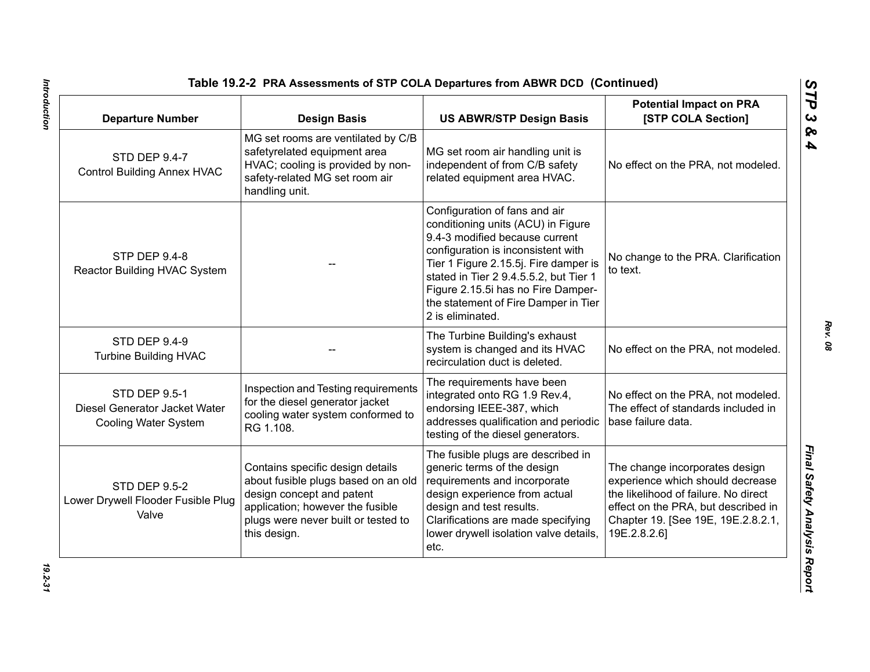| <b>Departure Number</b>                                                              | <b>Design Basis</b>                                                                                                                                                                             | <b>US ABWR/STP Design Basis</b>                                                                                                                                                                                                                                                                                                  | <b>Potential Impact on PRA</b><br>[STP COLA Section]                                                                                                                                                    |
|--------------------------------------------------------------------------------------|-------------------------------------------------------------------------------------------------------------------------------------------------------------------------------------------------|----------------------------------------------------------------------------------------------------------------------------------------------------------------------------------------------------------------------------------------------------------------------------------------------------------------------------------|---------------------------------------------------------------------------------------------------------------------------------------------------------------------------------------------------------|
| <b>STD DEP 9.4-7</b><br><b>Control Building Annex HVAC</b>                           | MG set rooms are ventilated by C/B<br>safetyrelated equipment area<br>HVAC; cooling is provided by non-<br>safety-related MG set room air<br>handling unit.                                     | MG set room air handling unit is<br>independent of from C/B safety<br>related equipment area HVAC.                                                                                                                                                                                                                               | No effect on the PRA, not modeled.                                                                                                                                                                      |
| <b>STP DEP 9.4-8</b><br>Reactor Building HVAC System                                 |                                                                                                                                                                                                 | Configuration of fans and air<br>conditioning units (ACU) in Figure<br>9.4-3 modified because current<br>configuration is inconsistent with<br>Tier 1 Figure 2.15.5j. Fire damper is<br>stated in Tier 2 9.4.5.5.2, but Tier 1<br>Figure 2.15.5i has no Fire Damper-<br>the statement of Fire Damper in Tier<br>2 is eliminated. | No change to the PRA. Clarification<br>to text.                                                                                                                                                         |
| <b>STD DEP 9.4-9</b><br><b>Turbine Building HVAC</b>                                 |                                                                                                                                                                                                 | The Turbine Building's exhaust<br>system is changed and its HVAC<br>recirculation duct is deleted.                                                                                                                                                                                                                               | No effect on the PRA, not modeled.                                                                                                                                                                      |
| <b>STD DEP 9.5-1</b><br>Diesel Generator Jacket Water<br><b>Cooling Water System</b> | Inspection and Testing requirements<br>for the diesel generator jacket<br>cooling water system conformed to<br>RG 1.108.                                                                        | The requirements have been<br>integrated onto RG 1.9 Rev.4,<br>endorsing IEEE-387, which<br>addresses qualification and periodic<br>testing of the diesel generators.                                                                                                                                                            | No effect on the PRA, not modeled.<br>The effect of standards included in<br>base failure data.                                                                                                         |
| <b>STD DEP 9.5-2</b><br>Lower Drywell Flooder Fusible Plug<br>Valve                  | Contains specific design details<br>about fusible plugs based on an old<br>design concept and patent<br>application; however the fusible<br>plugs were never built or tested to<br>this design. | The fusible plugs are described in<br>generic terms of the design<br>requirements and incorporate<br>design experience from actual<br>design and test results.<br>Clarifications are made specifying<br>lower drywell isolation valve details,<br>etc.                                                                           | The change incorporates design<br>experience which should decrease<br>the likelihood of failure. No direct<br>effect on the PRA, but described in<br>Chapter 19. [See 19E, 19E.2.8.2.1,<br>19E.2.8.2.6] |

Introduction *Introduction 19.2-31*

*STP 3 & 4*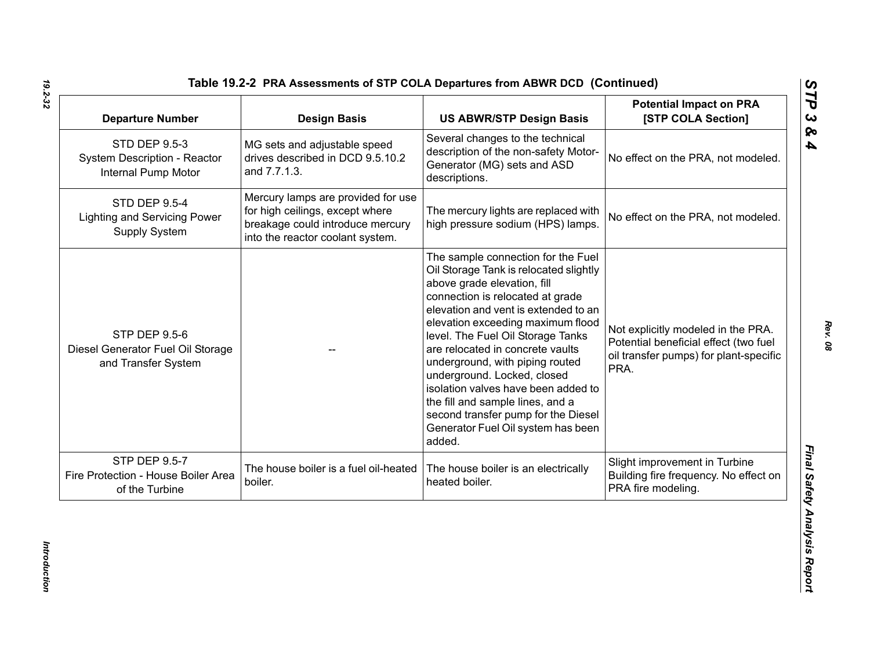| <b>Departure Number</b>                                                             | <b>Design Basis</b>                                                                                                                           | <b>US ABWR/STP Design Basis</b>                                                                                                                                                                                                                                                                                                                                                                                                                                                                                                           | <b>Potential Impact on PRA</b><br>[STP COLA Section]                                                                          |
|-------------------------------------------------------------------------------------|-----------------------------------------------------------------------------------------------------------------------------------------------|-------------------------------------------------------------------------------------------------------------------------------------------------------------------------------------------------------------------------------------------------------------------------------------------------------------------------------------------------------------------------------------------------------------------------------------------------------------------------------------------------------------------------------------------|-------------------------------------------------------------------------------------------------------------------------------|
| <b>STD DEP 9.5-3</b><br>System Description - Reactor<br>Internal Pump Motor         | MG sets and adjustable speed<br>drives described in DCD 9.5.10.2<br>and 7.7.1.3.                                                              | Several changes to the technical<br>description of the non-safety Motor-<br>Generator (MG) sets and ASD<br>descriptions.                                                                                                                                                                                                                                                                                                                                                                                                                  | No effect on the PRA, not modeled.                                                                                            |
| <b>STD DEP 9.5-4</b><br><b>Lighting and Servicing Power</b><br><b>Supply System</b> | Mercury lamps are provided for use<br>for high ceilings, except where<br>breakage could introduce mercury<br>into the reactor coolant system. | The mercury lights are replaced with<br>high pressure sodium (HPS) lamps.                                                                                                                                                                                                                                                                                                                                                                                                                                                                 | No effect on the PRA, not modeled.                                                                                            |
| <b>STP DEP 9.5-6</b><br>Diesel Generator Fuel Oil Storage<br>and Transfer System    |                                                                                                                                               | The sample connection for the Fuel<br>Oil Storage Tank is relocated slightly<br>above grade elevation, fill<br>connection is relocated at grade<br>elevation and vent is extended to an<br>elevation exceeding maximum flood<br>level. The Fuel Oil Storage Tanks<br>are relocated in concrete vaults<br>underground, with piping routed<br>underground. Locked, closed<br>isolation valves have been added to<br>the fill and sample lines, and a<br>second transfer pump for the Diesel<br>Generator Fuel Oil system has been<br>added. | Not explicitly modeled in the PRA.<br>Potential beneficial effect (two fuel<br>oil transfer pumps) for plant-specific<br>PRA. |
| <b>STP DEP 9.5-7</b><br>Fire Protection - House Boiler Area<br>of the Turbine       | The house boiler is a fuel oil-heated<br>boiler.                                                                                              | The house boiler is an electrically<br>heated boiler.                                                                                                                                                                                                                                                                                                                                                                                                                                                                                     | Slight improvement in Turbine<br>Building fire frequency. No effect on<br>PRA fire modeling.                                  |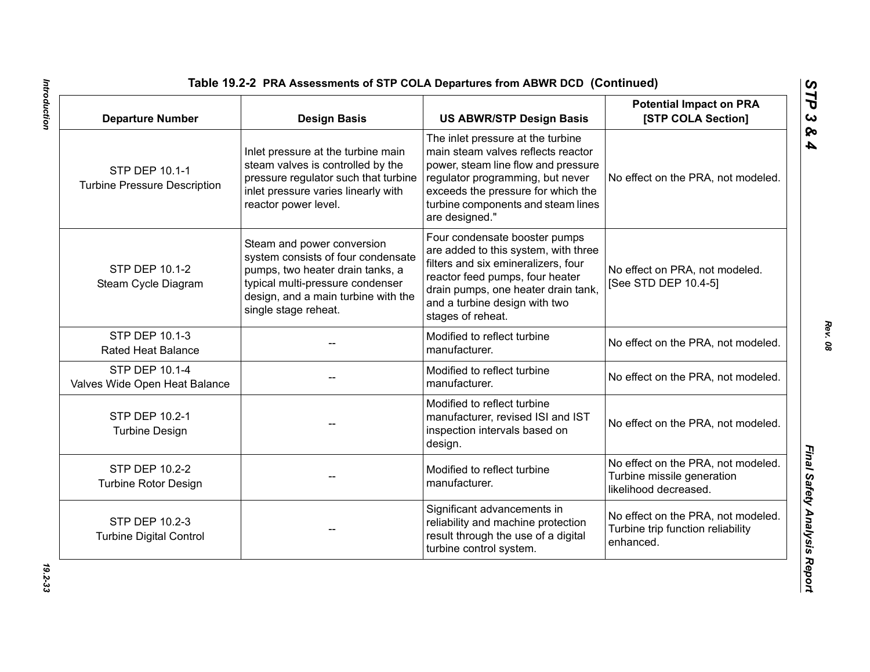| <b>Departure Number</b>                               | <b>Design Basis</b>                                                                                                                                                                                     | <b>US ABWR/STP Design Basis</b>                                                                                                                                                                                                                  | <b>Potential Impact on PRA</b><br>[STP COLA Section]                                      |
|-------------------------------------------------------|---------------------------------------------------------------------------------------------------------------------------------------------------------------------------------------------------------|--------------------------------------------------------------------------------------------------------------------------------------------------------------------------------------------------------------------------------------------------|-------------------------------------------------------------------------------------------|
| STP DEP 10.1-1<br><b>Turbine Pressure Description</b> | Inlet pressure at the turbine main<br>steam valves is controlled by the<br>pressure regulator such that turbine<br>inlet pressure varies linearly with<br>reactor power level.                          | The inlet pressure at the turbine<br>main steam valves reflects reactor<br>power, steam line flow and pressure<br>regulator programming, but never<br>exceeds the pressure for which the<br>turbine components and steam lines<br>are designed." | No effect on the PRA, not modeled.                                                        |
| STP DEP 10.1-2<br>Steam Cycle Diagram                 | Steam and power conversion<br>system consists of four condensate<br>pumps, two heater drain tanks, a<br>typical multi-pressure condenser<br>design, and a main turbine with the<br>single stage reheat. | Four condensate booster pumps<br>are added to this system, with three<br>filters and six emineralizers, four<br>reactor feed pumps, four heater<br>drain pumps, one heater drain tank,<br>and a turbine design with two<br>stages of reheat.     | No effect on PRA, not modeled.<br>[See STD DEP 10.4-5]                                    |
| STP DEP 10.1-3<br><b>Rated Heat Balance</b>           |                                                                                                                                                                                                         | Modified to reflect turbine<br>manufacturer.                                                                                                                                                                                                     | No effect on the PRA, not modeled.                                                        |
| STP DEP 10.1-4<br>Valves Wide Open Heat Balance       |                                                                                                                                                                                                         | Modified to reflect turbine<br>manufacturer.                                                                                                                                                                                                     | No effect on the PRA, not modeled.                                                        |
| STP DEP 10.2-1<br><b>Turbine Design</b>               |                                                                                                                                                                                                         | Modified to reflect turbine<br>manufacturer, revised ISI and IST<br>inspection intervals based on<br>design.                                                                                                                                     | No effect on the PRA, not modeled.                                                        |
| STP DEP 10.2-2<br><b>Turbine Rotor Design</b>         |                                                                                                                                                                                                         | Modified to reflect turbine<br>manufacturer.                                                                                                                                                                                                     | No effect on the PRA, not modeled.<br>Turbine missile generation<br>likelihood decreased. |
| STP DEP 10.2-3<br><b>Turbine Digital Control</b>      |                                                                                                                                                                                                         | Significant advancements in<br>reliability and machine protection<br>result through the use of a digital<br>turbine control system.                                                                                                              | No effect on the PRA, not modeled.<br>Turbine trip function reliability<br>enhanced.      |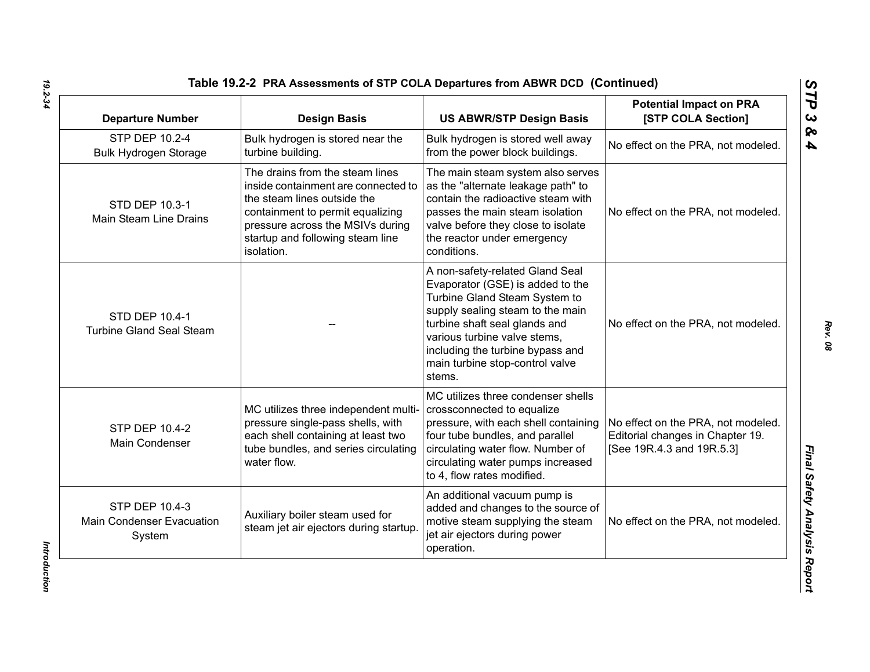| <b>Departure Number</b>                                      | <b>Design Basis</b>                                                                                                                                                                                                             | <b>US ABWR/STP Design Basis</b>                                                                                                                                                                                                                                                            | <b>Potential Impact on PRA</b><br>[STP COLA Section]                                                |
|--------------------------------------------------------------|---------------------------------------------------------------------------------------------------------------------------------------------------------------------------------------------------------------------------------|--------------------------------------------------------------------------------------------------------------------------------------------------------------------------------------------------------------------------------------------------------------------------------------------|-----------------------------------------------------------------------------------------------------|
| STP DEP 10.2-4<br><b>Bulk Hydrogen Storage</b>               | Bulk hydrogen is stored near the<br>turbine building.                                                                                                                                                                           | Bulk hydrogen is stored well away<br>from the power block buildings.                                                                                                                                                                                                                       | No effect on the PRA, not modeled.                                                                  |
| STD DEP 10.3-1<br>Main Steam Line Drains                     | The drains from the steam lines<br>inside containment are connected to<br>the steam lines outside the<br>containment to permit equalizing<br>pressure across the MSIVs during<br>startup and following steam line<br>isolation. | The main steam system also serves<br>as the "alternate leakage path" to<br>contain the radioactive steam with<br>passes the main steam isolation<br>valve before they close to isolate<br>the reactor under emergency<br>conditions.                                                       | No effect on the PRA, not modeled.                                                                  |
| <b>STD DEP 10.4-1</b><br><b>Turbine Gland Seal Steam</b>     |                                                                                                                                                                                                                                 | A non-safety-related Gland Seal<br>Evaporator (GSE) is added to the<br>Turbine Gland Steam System to<br>supply sealing steam to the main<br>turbine shaft seal glands and<br>various turbine valve stems,<br>including the turbine bypass and<br>main turbine stop-control valve<br>stems. | No effect on the PRA, not modeled.                                                                  |
| <b>STP DEP 10.4-2</b><br>Main Condenser                      | MC utilizes three independent multi-<br>pressure single-pass shells, with<br>each shell containing at least two<br>tube bundles, and series circulating<br>water flow.                                                          | MC utilizes three condenser shells<br>crossconnected to equalize<br>pressure, with each shell containing<br>four tube bundles, and parallel<br>circulating water flow. Number of<br>circulating water pumps increased<br>to 4, flow rates modified.                                        | No effect on the PRA, not modeled.<br>Editorial changes in Chapter 19.<br>[See 19R.4.3 and 19R.5.3] |
| STP DEP 10.4-3<br><b>Main Condenser Evacuation</b><br>System | Auxiliary boiler steam used for<br>steam jet air ejectors during startup                                                                                                                                                        | An additional vacuum pump is<br>added and changes to the source of<br>motive steam supplying the steam<br>jet air ejectors during power<br>operation.                                                                                                                                      | No effect on the PRA, not modeled.                                                                  |

Introduction *Introduction*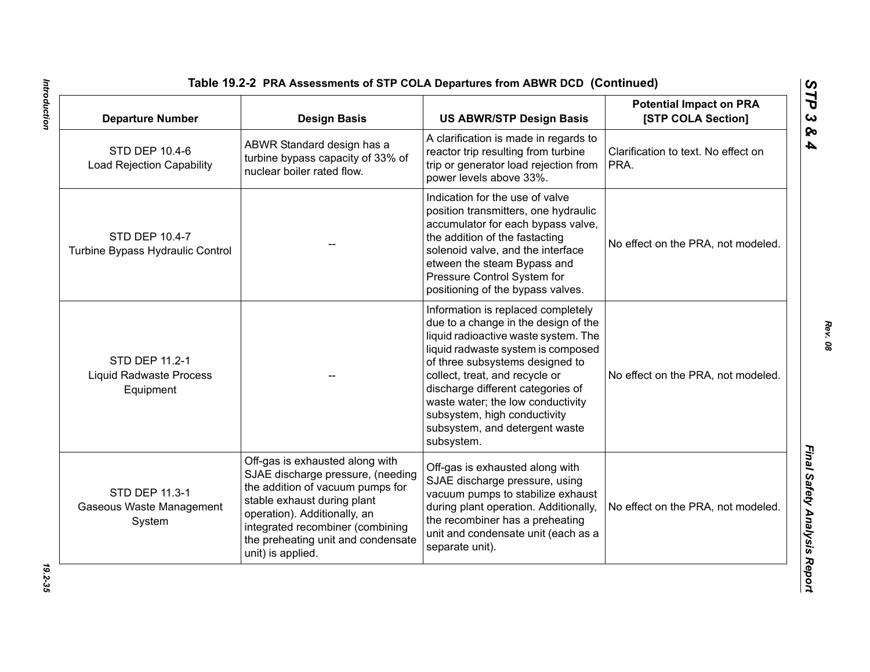| <b>Departure Number</b>                                       | <b>Design Basis</b>                                                                                                                                                                                                                                                    | <b>US ABWR/STP Design Basis</b>                                                                                                                                                                                                                                                                                                                                                         | <b>Potential Impact on PRA</b><br>[STP COLA Section] |
|---------------------------------------------------------------|------------------------------------------------------------------------------------------------------------------------------------------------------------------------------------------------------------------------------------------------------------------------|-----------------------------------------------------------------------------------------------------------------------------------------------------------------------------------------------------------------------------------------------------------------------------------------------------------------------------------------------------------------------------------------|------------------------------------------------------|
| STD DEP 10.4-6<br><b>Load Rejection Capability</b>            | ABWR Standard design has a<br>turbine bypass capacity of 33% of<br>nuclear boiler rated flow.                                                                                                                                                                          | A clarification is made in regards to<br>reactor trip resulting from turbine<br>trip or generator load rejection from<br>power levels above 33%.                                                                                                                                                                                                                                        | Clarification to text. No effect on<br>PRA.          |
| STD DEP 10.4-7<br>Turbine Bypass Hydraulic Control            |                                                                                                                                                                                                                                                                        | Indication for the use of valve<br>position transmitters, one hydraulic<br>accumulator for each bypass valve,<br>the addition of the fastacting<br>solenoid valve, and the interface<br>etween the steam Bypass and<br>Pressure Control System for<br>positioning of the bypass valves.                                                                                                 | No effect on the PRA, not modeled.                   |
| STD DEP 11.2-1<br><b>Liquid Radwaste Process</b><br>Equipment |                                                                                                                                                                                                                                                                        | Information is replaced completely<br>due to a change in the design of the<br>liquid radioactive waste system. The<br>liquid radwaste system is composed<br>of three subsystems designed to<br>collect, treat, and recycle or<br>discharge different categories of<br>waste water; the low conductivity<br>subsystem, high conductivity<br>subsystem, and detergent waste<br>subsystem. | No effect on the PRA, not modeled.                   |
| STD DEP 11.3-1<br>Gaseous Waste Management<br>System          | Off-gas is exhausted along with<br>SJAE discharge pressure, (needing<br>the addition of vacuum pumps for<br>stable exhaust during plant<br>operation). Additionally, an<br>integrated recombiner (combining<br>the preheating unit and condensate<br>unit) is applied. | Off-gas is exhausted along with<br>SJAE discharge pressure, using<br>vacuum pumps to stabilize exhaust<br>during plant operation. Additionally,<br>the recombiner has a preheating<br>unit and condensate unit (each as a<br>separate unit).                                                                                                                                            | No effect on the PRA, not modeled.                   |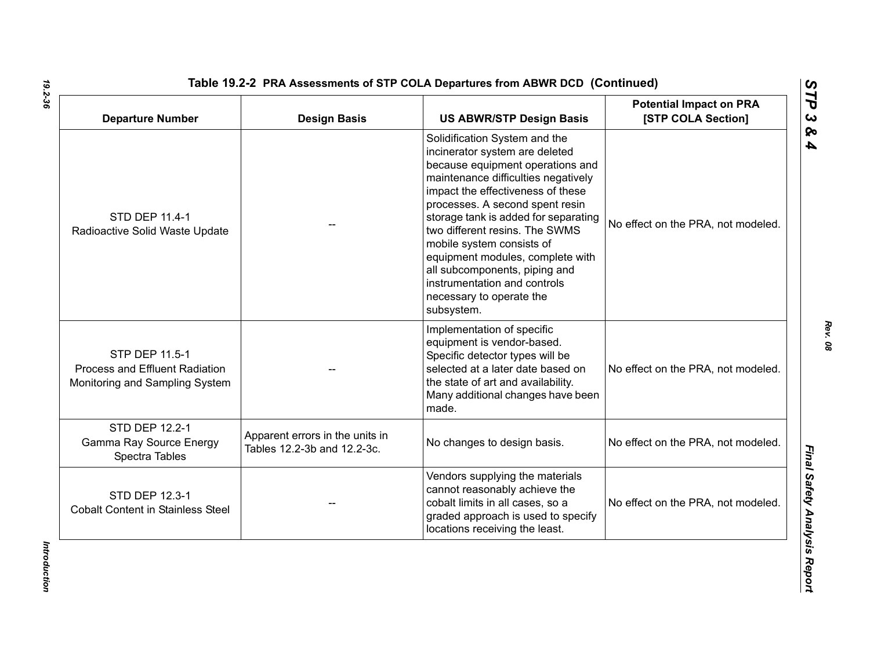| <b>Departure Number</b>                                                            | <b>Design Basis</b>                                            | <b>US ABWR/STP Design Basis</b>                                                                                                                                                                                                                                                                                                                                                                                                                                          | <b>Potential Impact on PRA</b><br>[STP COLA Section] |
|------------------------------------------------------------------------------------|----------------------------------------------------------------|--------------------------------------------------------------------------------------------------------------------------------------------------------------------------------------------------------------------------------------------------------------------------------------------------------------------------------------------------------------------------------------------------------------------------------------------------------------------------|------------------------------------------------------|
| STD DEP 11.4-1<br>Radioactive Solid Waste Update                                   |                                                                | Solidification System and the<br>incinerator system are deleted<br>because equipment operations and<br>maintenance difficulties negatively<br>impact the effectiveness of these<br>processes. A second spent resin<br>storage tank is added for separating<br>two different resins. The SWMS<br>mobile system consists of<br>equipment modules, complete with<br>all subcomponents, piping and<br>instrumentation and controls<br>necessary to operate the<br>subsystem. | No effect on the PRA, not modeled.                   |
| STP DEP 11.5-1<br>Process and Effluent Radiation<br>Monitoring and Sampling System |                                                                | Implementation of specific<br>equipment is vendor-based.<br>Specific detector types will be<br>selected at a later date based on<br>the state of art and availability.<br>Many additional changes have been<br>made.                                                                                                                                                                                                                                                     | No effect on the PRA, not modeled.                   |
| STD DEP 12.2-1<br>Gamma Ray Source Energy<br>Spectra Tables                        | Apparent errors in the units in<br>Tables 12.2-3b and 12.2-3c. | No changes to design basis.                                                                                                                                                                                                                                                                                                                                                                                                                                              | No effect on the PRA, not modeled.                   |
| <b>STD DEP 12.3-1</b><br><b>Cobalt Content in Stainless Steel</b>                  |                                                                | Vendors supplying the materials<br>cannot reasonably achieve the<br>cobalt limits in all cases, so a<br>graded approach is used to specify<br>locations receiving the least.                                                                                                                                                                                                                                                                                             | No effect on the PRA, not modeled.                   |

Introduction *Introduction*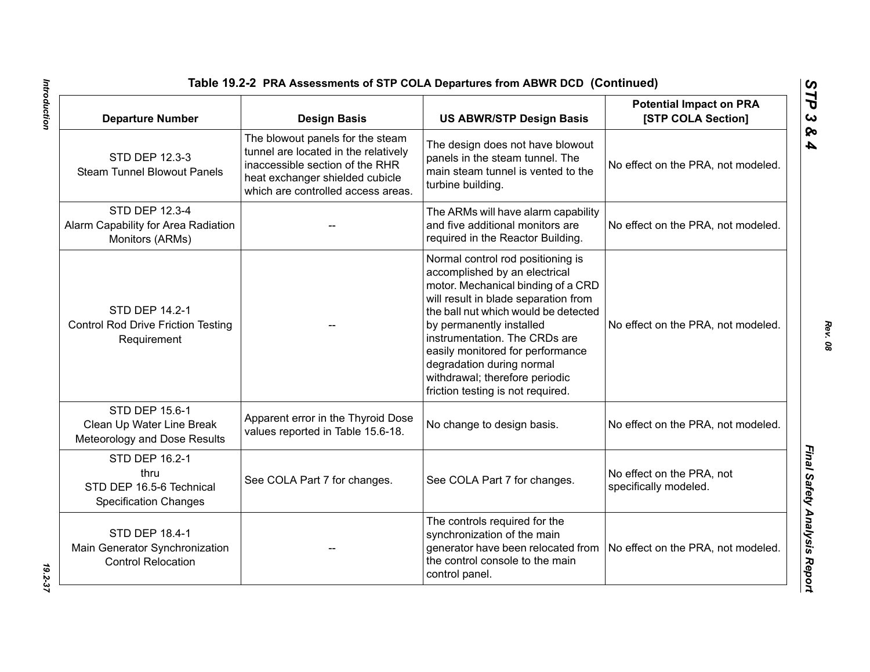| Table 19.2-2 PRA Assessments of STP COLA Departures from ABWR DCD (Continued)        |                                                                                                                                                                                      |                                                                                                                                                                                                                                                                                                                                                                                               |                                                      |
|--------------------------------------------------------------------------------------|--------------------------------------------------------------------------------------------------------------------------------------------------------------------------------------|-----------------------------------------------------------------------------------------------------------------------------------------------------------------------------------------------------------------------------------------------------------------------------------------------------------------------------------------------------------------------------------------------|------------------------------------------------------|
| <b>Departure Number</b>                                                              | <b>Design Basis</b>                                                                                                                                                                  | <b>US ABWR/STP Design Basis</b>                                                                                                                                                                                                                                                                                                                                                               | <b>Potential Impact on PRA</b><br>[STP COLA Section] |
| STD DEP 12.3-3<br><b>Steam Tunnel Blowout Panels</b>                                 | The blowout panels for the steam<br>tunnel are located in the relatively<br>inaccessible section of the RHR<br>heat exchanger shielded cubicle<br>which are controlled access areas. | The design does not have blowout<br>panels in the steam tunnel. The<br>main steam tunnel is vented to the<br>turbine building.                                                                                                                                                                                                                                                                | No effect on the PRA, not modeled.                   |
| STD DEP 12.3-4<br>Alarm Capability for Area Radiation<br>Monitors (ARMs)             |                                                                                                                                                                                      | The ARMs will have alarm capability<br>and five additional monitors are<br>required in the Reactor Building.                                                                                                                                                                                                                                                                                  | No effect on the PRA, not modeled.                   |
| STD DEP 14.2-1<br><b>Control Rod Drive Friction Testing</b><br>Requirement           |                                                                                                                                                                                      | Normal control rod positioning is<br>accomplished by an electrical<br>motor. Mechanical binding of a CRD<br>will result in blade separation from<br>the ball nut which would be detected<br>by permanently installed<br>instrumentation. The CRDs are<br>easily monitored for performance<br>degradation during normal<br>withdrawal; therefore periodic<br>friction testing is not required. | No effect on the PRA, not modeled.                   |
| STD DEP 15.6-1<br>Clean Up Water Line Break<br>Meteorology and Dose Results          | Apparent error in the Thyroid Dose<br>values reported in Table 15.6-18.                                                                                                              | No change to design basis.                                                                                                                                                                                                                                                                                                                                                                    | No effect on the PRA, not modeled.                   |
| STD DEP 16.2-1<br>thru<br>STD DEP 16.5-6 Technical<br><b>Specification Changes</b>   | See COLA Part 7 for changes.                                                                                                                                                         | See COLA Part 7 for changes.                                                                                                                                                                                                                                                                                                                                                                  | No effect on the PRA, not<br>specifically modeled.   |
| <b>STD DEP 18.4-1</b><br>Main Generator Synchronization<br><b>Control Relocation</b> |                                                                                                                                                                                      | The controls required for the<br>synchronization of the main<br>generator have been relocated from<br>the control console to the main<br>control panel.                                                                                                                                                                                                                                       | No effect on the PRA, not modeled.                   |

Introduction

*Rev. 08*

*STP 3 & 4*

*Introduction 19.2-37* 19.2-37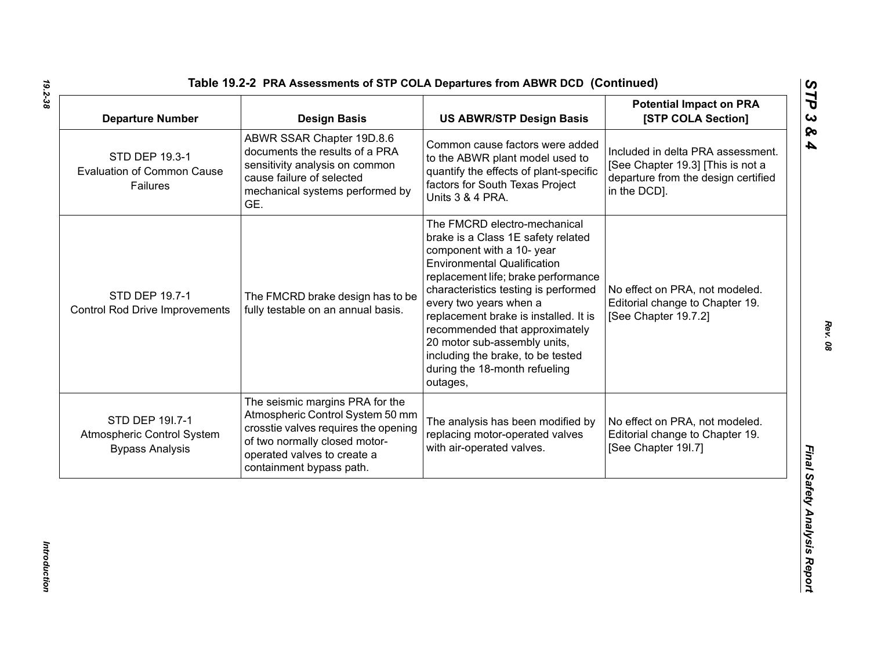| <b>Departure Number</b>                                                 | <b>Design Basis</b>                                                                                                                                                                                     | <b>US ABWR/STP Design Basis</b>                                                                                                                                                                                                                                                                                                                                                                                                             | <b>Potential Impact on PRA</b><br>[STP COLA Section]                                                                          |
|-------------------------------------------------------------------------|---------------------------------------------------------------------------------------------------------------------------------------------------------------------------------------------------------|---------------------------------------------------------------------------------------------------------------------------------------------------------------------------------------------------------------------------------------------------------------------------------------------------------------------------------------------------------------------------------------------------------------------------------------------|-------------------------------------------------------------------------------------------------------------------------------|
| STD DEP 19.3-1<br><b>Evaluation of Common Cause</b><br>Failures         | ABWR SSAR Chapter 19D.8.6<br>documents the results of a PRA<br>sensitivity analysis on common<br>cause failure of selected<br>mechanical systems performed by<br>GE.                                    | Common cause factors were added<br>to the ABWR plant model used to<br>quantify the effects of plant-specific<br>factors for South Texas Project<br>Units 3 & 4 PRA.                                                                                                                                                                                                                                                                         | Included in delta PRA assessment.<br>[See Chapter 19.3] [This is not a<br>departure from the design certified<br>in the DCD]. |
| STD DEP 19.7-1<br><b>Control Rod Drive Improvements</b>                 | The FMCRD brake design has to be<br>fully testable on an annual basis.                                                                                                                                  | The FMCRD electro-mechanical<br>brake is a Class 1E safety related<br>component with a 10- year<br><b>Environmental Qualification</b><br>replacement life; brake performance<br>characteristics testing is performed<br>every two years when a<br>replacement brake is installed. It is<br>recommended that approximately<br>20 motor sub-assembly units,<br>including the brake, to be tested<br>during the 18-month refueling<br>outages, | No effect on PRA, not modeled.<br>Editorial change to Chapter 19.<br>[See Chapter 19.7.2]                                     |
| STD DEP 191.7-1<br>Atmospheric Control System<br><b>Bypass Analysis</b> | The seismic margins PRA for the<br>Atmospheric Control System 50 mm<br>crosstie valves requires the opening<br>of two normally closed motor-<br>operated valves to create a<br>containment bypass path. | The analysis has been modified by<br>replacing motor-operated valves<br>with air-operated valves.                                                                                                                                                                                                                                                                                                                                           | No effect on PRA, not modeled.<br>Editorial change to Chapter 19.<br>[See Chapter 19I.7]                                      |

Introduction *Introduction*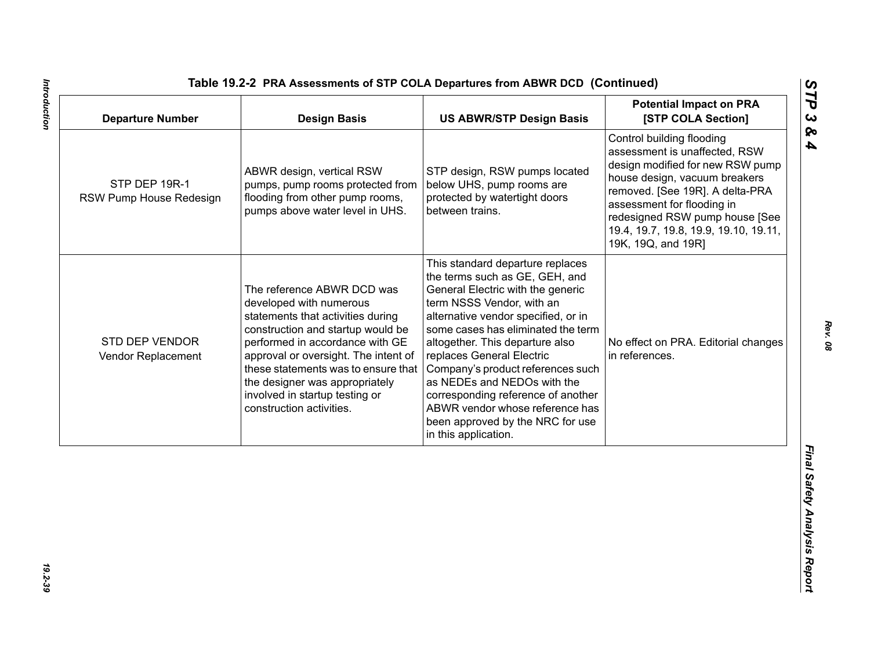| <b>Departure Number</b>                  | <b>Design Basis</b>                                                                                                                                                                                                                                                                                                                               | <b>US ABWR/STP Design Basis</b>                                                                                                                                                                                                                                                                                                                                                                                                                                                            | <b>Potential Impact on PRA</b><br>[STP COLA Section]                                                                                                                                                                                                                                              |
|------------------------------------------|---------------------------------------------------------------------------------------------------------------------------------------------------------------------------------------------------------------------------------------------------------------------------------------------------------------------------------------------------|--------------------------------------------------------------------------------------------------------------------------------------------------------------------------------------------------------------------------------------------------------------------------------------------------------------------------------------------------------------------------------------------------------------------------------------------------------------------------------------------|---------------------------------------------------------------------------------------------------------------------------------------------------------------------------------------------------------------------------------------------------------------------------------------------------|
| STP DEP 19R-1<br>RSW Pump House Redesign | ABWR design, vertical RSW<br>pumps, pump rooms protected from<br>flooding from other pump rooms,<br>pumps above water level in UHS.                                                                                                                                                                                                               | STP design, RSW pumps located<br>below UHS, pump rooms are<br>protected by watertight doors<br>between trains.                                                                                                                                                                                                                                                                                                                                                                             | Control building flooding<br>assessment is unaffected, RSW<br>design modified for new RSW pump<br>house design, vacuum breakers<br>removed. [See 19R]. A delta-PRA<br>assessment for flooding in<br>redesigned RSW pump house [See<br>19.4, 19.7, 19.8, 19.9, 19.10, 19.11,<br>19K, 19Q, and 19R] |
| STD DEP VENDOR<br>Vendor Replacement     | The reference ABWR DCD was<br>developed with numerous<br>statements that activities during<br>construction and startup would be<br>performed in accordance with GE<br>approval or oversight. The intent of<br>these statements was to ensure that<br>the designer was appropriately<br>involved in startup testing or<br>construction activities. | This standard departure replaces<br>the terms such as GE, GEH, and<br>General Electric with the generic<br>term NSSS Vendor, with an<br>alternative vendor specified, or in<br>some cases has eliminated the term<br>altogether. This departure also<br>replaces General Electric<br>Company's product references such<br>as NEDEs and NEDOs with the<br>corresponding reference of another<br>ABWR vendor whose reference has<br>been approved by the NRC for use<br>in this application. | No effect on PRA. Editorial changes<br>in references.                                                                                                                                                                                                                                             |
|                                          |                                                                                                                                                                                                                                                                                                                                                   |                                                                                                                                                                                                                                                                                                                                                                                                                                                                                            |                                                                                                                                                                                                                                                                                                   |